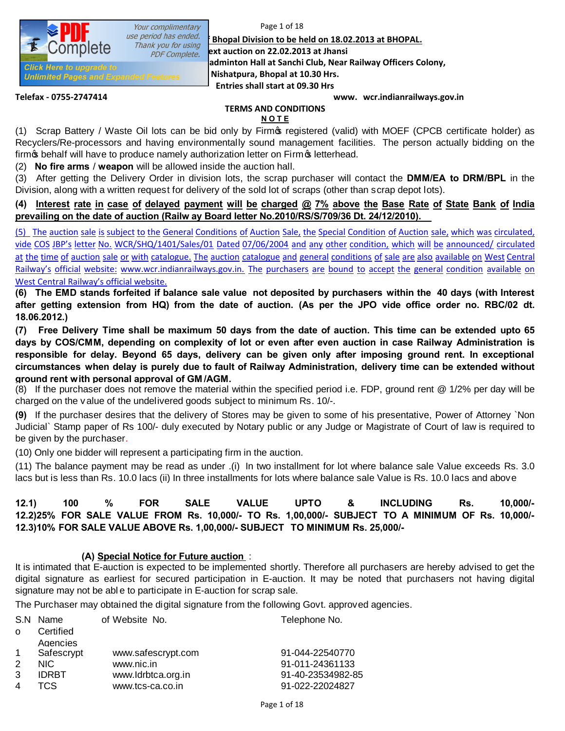*Aust period has ended.* **Bhopal Division to be held on 18.02.2013 at BHOPAL.**<br>Thank you for using **Brown** 

**Next auction on 22.02.2013 at Jhansi**

**Place & time of automobile Blace & time of automobile Sanchi Club, Near Railway Officers Colony, Place & time of automobile Sanchi Club**, Near Railway Officers Colony,

**Nishatpura, Bhopal at 10.30 Hrs.**

**Entries shall start at 09.30 Hrs**

**Unlimited Pages and Expanded Features** 

#### **Telefax - 0755-2747414 www. wcr.indianrailways.gov.in**

## **TERMS AND CONDITIONS**

#### **N O T E**

(1) Scrap Battery / Waste Oil lots can be bid only by Firm's registered (valid) with MOEF (CPCB certificate holder) as Recyclers/Re-processors and having environmentally sound management facilities. The person actually bidding on the firm  $\oint$  behalf will have to produce namely authorization letter on Firm  $\oint$  letterhead.

(2) **No fire arms** / **weapon** will be allowed inside the auction hall.

Your complimentary

(3) After getting the Delivery Order in division lots, the scrap purchaser will contact the **DMM/EA to DRM/BPL** in the Division, along with a written request for delivery of the sold lot of scraps (other than scrap depot lots).

## (4) Interest rate in case of delayed payment will be charged @ 7% above the Base Rate of State Bank of India **prevailing on the date of auction (Railw ay Board letter No.2010/RS/S/709/36 Dt. 24/12/2010).**

(5) The auction sale is subject to the General Conditions of Auction Sale, the Special Condition of Auction sale, which was circulated, vide COS JBP's letter No. WCR/SHQ/1401/Sales/01 Dated 07/06/2004 and any other condition, which will be announced/ circulated at the time of auction sale or with catalogue. The auction catalogue and general conditions of sale are also available on West Central Railway's official website: www.wcr.indianrailways.gov.in. The purchasers are bound to accept the general condition available on West Central Railway's official website.

(6) The EMD stands forfeited if balance sale value not deposited by purchasers within the 40 days (with Interest after getting extension from HQ) from the date of auction. (As per the JPO vide office order no. RBC/02 dt. **18.06.2012.)**

(7) Free Delivery Time shall be maximum 50 days from the date of auction. This time can be extended upto 65 days by COS/CMM, depending on complexity of lot or even after even auction in case Railway Administration is responsible for delay. Beyond 65 days, delivery can be given only after imposing ground rent. In exceptional circumstances when delay is purely due to fault of Railway Administration, delivery time can be extended without **ground rent with personal approval of GM /AGM.** 

(8) If the purchaser does not remove the material within the specified period i.e. FDP, ground rent @ 1/2% per day will be charged on the v alue of the undelivered goods subject to minimum Rs. 10/-.

**(9)** If the purchaser desires that the delivery of Stores may be given to some of his presentative, Power of Attorney `Non Judicial` Stamp paper of Rs 100/- duly executed by Notary public or any Judge or Magistrate of Court of law is required to be given by the purchaser.

(10) Only one bidder will represent a participating firm in the auction.

(11) The balance payment may be read as under .(i) In two installment for lot where balance sale Value exceeds Rs. 3.0 lacs but is less than Rs. 10.0 lacs (ii) In three installments for lots where balance sale Value is Rs. 10.0 lacs and above

# **12.1) 100 % FOR SALE VALUE UPTO & INCLUDING Rs. 10,000/- 12.2)25% FOR SALE VALUE FROM Rs. 10,000/- TO Rs. 1,00,000/- SUBJECT TO A MINIMUM OF Rs. 10,000/- 12.3)10% FOR SALE VALUE ABOVE Rs. 1,00,000/- SUBJECT TO MINIMUM Rs. 25,000/-**

## **(A) Special Notice for Future auction** :

It is intimated that E-auction is expected to be implemented shortly. Therefore all purchasers are hereby advised to get the digital signature as earliest for secured participation in E-auction. It may be noted that purchasers not having digital signature may not be abl e to participate in E-auction for scrap sale.

The Purchaser may obtained the digital signature from the following Govt. approved agencies.

|               | S.N Name     | of Website No.     | Telephone No.     |
|---------------|--------------|--------------------|-------------------|
| $\Omega$      | Certified    |                    |                   |
|               | Agencies     |                    |                   |
| $\mathbf{1}$  | Safescrypt   | www.safescrypt.com | 91-044-22540770   |
| $\mathcal{P}$ | NIC.         | www.nic.in         | 91-011-24361133   |
| 3             | <b>IDRBT</b> | www.ldrbtca.org.in | 91-40-23534982-85 |
| 4             | TCS.         | www.tcs-ca.co.in   | 91-022-22024827   |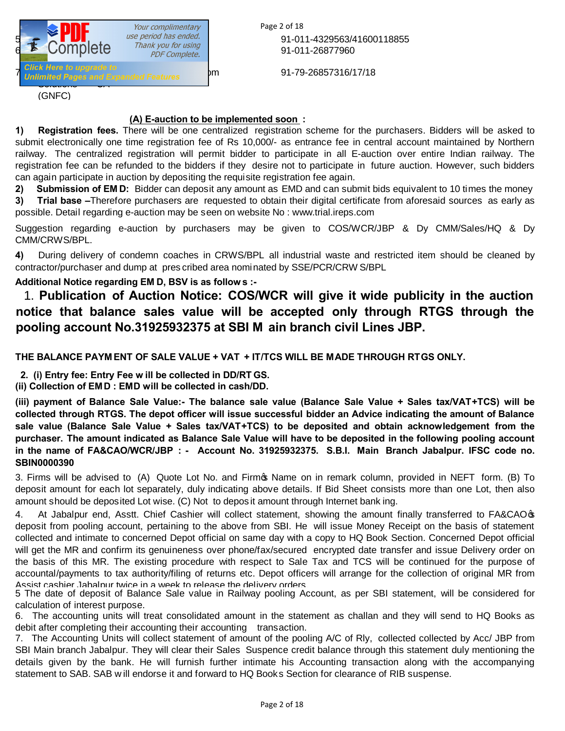

Page 2 of 18 91-011-4329563/41600118855 91-011-26877960

91-79-26857316/17/18

## **(A) E-auction to be implemented soon :**

**1) Registration fees.** There will be one centralized registration scheme for the purchasers. Bidders will be asked to submit electronically one time registration fee of Rs 10,000/- as entrance fee in central account maintained by Northern railway. The centralized registration will permit bidder to participate in all E-auction over entire Indian railway. The registration fee can be refunded to the bidders if they desire not to participate in future auction. However, such bidders can again participate in auction by depositing the requisite registration fee again.

**2) Submission of EM D:** Bidder can deposit any amount as EMD and can submit bids equivalent to 10 times the money

**3) Trial base –**Therefore purchasers are requested to obtain their digital certificate from aforesaid sources as early as possible. Detail regarding e-auction may be seen on website No : www.trial.ireps.com

Suggestion regarding e-auction by purchasers may be given to COS/WCR/JBP & Dy CMM/Sales/HQ & Dy CMM/CRWS/BPL.

**4)** During delivery of condemn coaches in CRWS/BPL all industrial waste and restricted item should be cleaned by contractor/purchaser and dump at pres cribed area nominated by SSE/PCR/CRW S/BPL

## **Additional Notice regarding EM D, BSV is as follow s :-**

1. **Publication of Auction Notice: COS/WCR will give it wide publicity in the auction notice that balance sales value will be accepted only through RTGS through the pooling account No.31925932375 at SBI M ain branch civil Lines JBP.** 

**THE BALANCE PAYM ENT OF SALE VALUE + VAT + IT/TCS WILL BE MADE THROUGH RTGS ONLY.**

 **2. (i) Entry fee: Entry Fee w ill be collected in DD/RT GS.** 

**(ii) Collection of EM D : EMD will be collected in cash/DD.** 

(iii) payment of Balance Sale Value:- The balance sale value (Balance Sale Value + Sales tax/VAT+TCS) will be collected through RTGS. The depot officer will issue successful bidder an Advice indicating the amount of Balance **sale value (Balance Sale Value + Sales tax/VAT+TCS) to be deposited and obtain acknowledgement from the** purchaser. The amount indicated as Balance Sale Value will have to be deposited in the following pooling account **in the name of FA&CAO/WCR/JBP : - Account No. 31925932375. S.B.I. Main Branch Jabalpur. IFSC code no. SBIN0000390** 

3. Firms will be advised to (A) Quote Lot No. and Firm's Name on in remark column, provided in NEFT form. (B) To deposit amount for each lot separately, duly indicating above details. If Bid Sheet consists more than one Lot, then also amount should be deposited Lot wise. (C) Not to depos it amount through Internet bank ing.

4. At Jabalpur end, Asstt. Chief Cashier will collect statement, showing the amount finally transferred to FA&CAO deposit from pooling account, pertaining to the above from SBI. He will issue Money Receipt on the basis of statement collected and intimate to concerned Depot official on same day with a copy to HQ Book Section. Concerned Depot official will get the MR and confirm its genuineness over phone/fax/secured encrypted date transfer and issue Delivery order on the basis of this MR. The existing procedure with respect to Sale Tax and TCS will be continued for the purpose of accountal/payments to tax authority/filing of returns etc. Depot officers will arrange for the collection of original MR from Assist cashier Jabalpur twice in a week to release the delivery orders.

5 The date of deposit of Balance Sale value in Railway pooling Account, as per SBI statement, will be considered for calculation of interest purpose.

6. The accounting units will treat consolidated amount in the statement as challan and they will send to HQ Books as debit after completing their accounting their accounting transaction.

7. The Accounting Units will collect statement of amount of the pooling A/C of Rly, collected collected by Acc/ JBP from SBI Main branch Jabalpur. They will clear their Sales Suspence credit balance through this statement duly mentioning the details given by the bank. He will furnish further intimate his Accounting transaction along with the accompanying statement to SAB. SAB w ill endorse it and forward to HQ Books Section for clearance of RIB suspense.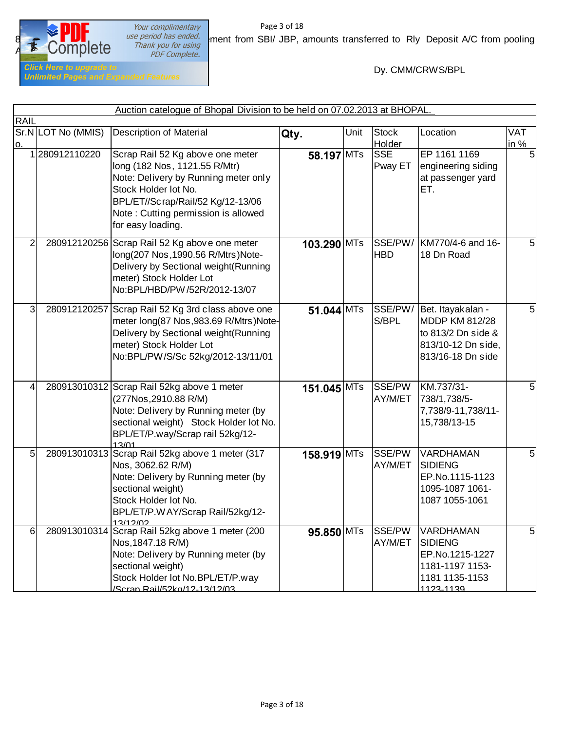

Your complimentary A axis use period has ended.<br>Thank you for using<br>PDF Complete.

Page 3 of 18 **BROOKS AND THE USE DEF** Complete bank you for using sment from SBI/ JBP, amounts transferred to Rly Deposit A/C from pooling mplete  $\sum_{PDE \text{ Complete}}$ 

Dy. CMM/CRWS/BPL

|                |                    | Auction catelogue of Bhopal Division to be held on 07.02.2013 at BHOPAL. |             |      |              |                       |                |
|----------------|--------------------|--------------------------------------------------------------------------|-------------|------|--------------|-----------------------|----------------|
| <b>RAIL</b>    |                    |                                                                          |             |      |              |                       |                |
|                | Sr.N LOT No (MMIS) | <b>Description of Material</b>                                           | Qty.        | Unit | <b>Stock</b> | Location              | <b>VAT</b>     |
| о.             |                    |                                                                          |             |      | Holder       |                       | <u>in %</u>    |
|                | 1280912110220      | Scrap Rail 52 Kg above one meter                                         | 58.197 MTs  |      | <b>SSE</b>   | EP 1161 1169          | 5              |
|                |                    | long (182 Nos, 1121.55 R/Mtr)                                            |             |      | Pway ET      | engineering siding    |                |
|                |                    | Note: Delivery by Running meter only                                     |             |      |              | at passenger yard     |                |
|                |                    | Stock Holder lot No.                                                     |             |      |              | ET.                   |                |
|                |                    | BPL/ET//Scrap/Rail/52 Kg/12-13/06                                        |             |      |              |                       |                |
|                |                    | Note: Cutting permission is allowed                                      |             |      |              |                       |                |
|                |                    | for easy loading.                                                        |             |      |              |                       |                |
| $\overline{2}$ |                    | 280912120256 Scrap Rail 52 Kg above one meter                            | 103.290 MTs |      | SSE/PW/      | KM770/4-6 and 16-     | 5 <sub>l</sub> |
|                |                    | long(207 Nos, 1990.56 R/Mtrs) Note-                                      |             |      | <b>HBD</b>   | 18 Dn Road            |                |
|                |                    | Delivery by Sectional weight(Running                                     |             |      |              |                       |                |
|                |                    | meter) Stock Holder Lot                                                  |             |      |              |                       |                |
|                |                    | No:BPL/HBD/PW/52R/2012-13/07                                             |             |      |              |                       |                |
| 3              |                    | 280912120257 Scrap Rail 52 Kg 3rd class above one                        | 51.044 MTs  |      | SSE/PW/      | Bet. Itayakalan -     | 5              |
|                |                    | meter long(87 Nos, 983.69 R/Mtrs)Note-                                   |             |      | S/BPL        | <b>MDDP KM 812/28</b> |                |
|                |                    | Delivery by Sectional weight(Running                                     |             |      |              | to 813/2 Dn side &    |                |
|                |                    | meter) Stock Holder Lot                                                  |             |      |              | 813/10-12 Dn side,    |                |
|                |                    | No:BPL/PW/S/Sc 52kg/2012-13/11/01                                        |             |      |              | 813/16-18 Dn side     |                |
|                |                    |                                                                          |             |      |              |                       |                |
|                |                    |                                                                          |             |      |              |                       |                |
| 4              |                    | 280913010312 Scrap Rail 52kg above 1 meter                               | 151.045 MTs |      | SSE/PW       | KM.737/31-            | 5 <sup>1</sup> |
|                |                    | (277Nos, 2910.88 R/M)                                                    |             |      | AY/M/ET      | 738/1,738/5-          |                |
|                |                    | Note: Delivery by Running meter (by                                      |             |      |              | 7,738/9-11,738/11-    |                |
|                |                    | sectional weight) Stock Holder lot No.                                   |             |      |              | 15,738/13-15          |                |
|                |                    | BPL/ET/P.way/Scrap rail 52kg/12-<br>13/01                                |             |      |              |                       |                |
| 5              |                    | 280913010313 Scrap Rail 52kg above 1 meter (317                          | 158.919 MTs |      | SSE/PW       | <b>VARDHAMAN</b>      | 5 <sup>1</sup> |
|                |                    | Nos, 3062.62 R/M)                                                        |             |      | AY/M/ET      | <b>SIDIENG</b>        |                |
|                |                    | Note: Delivery by Running meter (by                                      |             |      |              | EP.No.1115-1123       |                |
|                |                    | sectional weight)                                                        |             |      |              | 1095-1087 1061-       |                |
|                |                    | Stock Holder lot No.                                                     |             |      |              | 1087 1055-1061        |                |
|                |                    | BPL/ET/P.WAY/Scrap Rail/52kg/12-                                         |             |      |              |                       |                |
| 6              |                    | 13/12/02<br>280913010314 Scrap Rail 52kg above 1 meter (200              | 95.850 MTs  |      | SSE/PW       | <b>VARDHAMAN</b>      | 5 <sub>l</sub> |
|                |                    | Nos, 1847.18 R/M)                                                        |             |      | AY/M/ET      | <b>SIDIENG</b>        |                |
|                |                    | Note: Delivery by Running meter (by                                      |             |      |              | EP.No.1215-1227       |                |
|                |                    | sectional weight)                                                        |             |      |              | 1181-1197 1153-       |                |
|                |                    | Stock Holder lot No.BPL/ET/P.way                                         |             |      |              | 1181 1135-1153        |                |
|                |                    | Scran Rail/52kg/12-13/12/03                                              |             |      |              | 1123-1139             |                |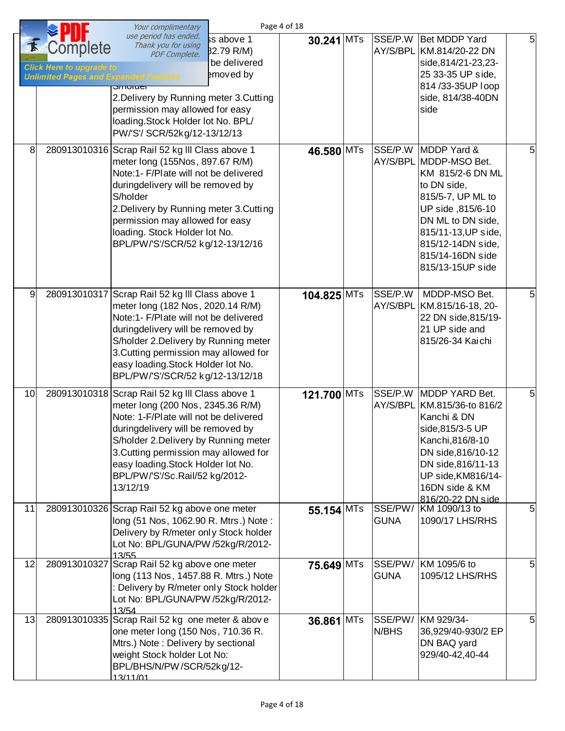|    |                                                                                             | Your complimentary                                                                                                                                                                                                                                                                                                                       |                                                       | Page 4 of 18 |                        |                                                                                                                                                                                                                             |   |
|----|---------------------------------------------------------------------------------------------|------------------------------------------------------------------------------------------------------------------------------------------------------------------------------------------------------------------------------------------------------------------------------------------------------------------------------------------|-------------------------------------------------------|--------------|------------------------|-----------------------------------------------------------------------------------------------------------------------------------------------------------------------------------------------------------------------------|---|
|    | Complete<br><b>Click Here to upgrade to</b><br><b>Unlimited Pages and Expanded Features</b> | use period has ended.<br>Thank you for using<br><b>PDF Complete.</b><br>$rac{1}{\sqrt{11010}}$<br>2. Delivery by Running meter 3. Cutting<br>permission may allowed for easy<br>loading.Stock Holder lot No. BPL/<br>PW/'S'/ SCR/52kg/12-13/12/13                                                                                        | ss above 1<br>32.79 R/M)<br>be delivered<br>emoved by | 30.241 MTs   | SSE/P.W                | Bet MDDP Yard<br>AY/S/BPL KM.814/20-22 DN<br>side,814/21-23,23-<br>25 33-35 UP side,<br>814/33-35UP loop<br>side, 814/38-40DN<br>side                                                                                       | 5 |
| 8  |                                                                                             | 280913010316 Scrap Rail 52 kg Ill Class above 1<br>meter long (155Nos, 897.67 R/M)<br>Note:1- F/Plate will not be delivered<br>duringdelivery will be removed by<br>S/holder<br>2. Delivery by Running meter 3. Cutting<br>permission may allowed for easy<br>loading. Stock Holder lot No.<br>BPL/PW/'S'/SCR/52 kg/12-13/12/16          |                                                       | 46.580 MTs   | SSE/P.W                | MDDP Yard &<br>AY/S/BPL MDDP-MSO Bet.<br>KM 815/2-6 DN ML<br>to DN side,<br>815/5-7, UP ML to<br>UP side ,815/6-10<br>DN ML to DN side,<br>815/11-13, UP side,<br>815/12-14DN side,<br>815/14-16DN side<br>815/13-15UP side | 5 |
| 9  |                                                                                             | 280913010317 Scrap Rail 52 kg Ill Class above 1<br>meter long (182 Nos, 2020.14 R/M)<br>Note:1- F/Plate will not be delivered<br>duringdelivery will be removed by<br>S/holder 2.Delivery by Running meter<br>3. Cutting permission may allowed for<br>easy loading. Stock Holder lot No.<br>BPL/PW/'S'/SCR/52 kg/12-13/12/18            |                                                       | 104.825 MTs  | SSE/P.W                | MDDP-MSO Bet.<br>AY/S/BPL KM.815/16-18, 20-<br>22 DN side, 815/19-<br>21 UP side and<br>815/26-34 Kaichi                                                                                                                    | 5 |
| 10 |                                                                                             | 280913010318 Scrap Rail 52 kg III Class above 1<br>meter long (200 Nos, 2345.36 R/M)<br>Note: 1-F/Plate will not be delivered<br>duringdelivery will be removed by<br>S/holder 2. Delivery by Running meter<br>3. Cutting permission may allowed for<br>easy loading. Stock Holder lot No.<br>BPL/PW/'S'/Sc.Rail/52 kg/2012-<br>13/12/19 |                                                       | 121.700 MTs  |                        | SSE/P.W MDDP YARD Bet.<br>AY/S/BPL KM.815/36-to 816/2<br>Kanchi & DN<br>side, 815/3-5 UP<br>Kanchi, 816/8-10<br>DN side, 816/10-12<br>DN side, 816/11-13<br>UP side, KM816/14-<br>16DN side & KM<br>816/20-22 DN side       | 5 |
| 11 |                                                                                             | 280913010326 Scrap Rail 52 kg above one meter<br>long (51 Nos, 1062.90 R. Mtrs.) Note:<br>Delivery by R/meter only Stock holder<br>Lot No: BPL/GUNA/PW /52kg/R/2012-<br>13/55                                                                                                                                                            |                                                       | $55.154$ MTs | SSE/PW/<br><b>GUNA</b> | KM 1090/13 to<br>1090/17 LHS/RHS                                                                                                                                                                                            | 5 |
| 12 |                                                                                             | 280913010327 Scrap Rail 52 kg above one meter<br>long (113 Nos, 1457.88 R. Mtrs.) Note<br>: Delivery by R/meter only Stock holder<br>Lot No: BPL/GUNA/PW /52kg/R/2012-<br>13/54                                                                                                                                                          |                                                       | 75.649 MTs   | SSE/PW/<br><b>GUNA</b> | KM 1095/6 to<br>1095/12 LHS/RHS                                                                                                                                                                                             | 5 |
| 13 |                                                                                             | 280913010335 Scrap Rail 52 kg one meter & above<br>one meter long (150 Nos, 710.36 R.<br>Mtrs.) Note: Delivery by sectional<br>weight Stock holder Lot No:<br>BPL/BHS/N/PW/SCR/52kg/12-<br>13/11/01                                                                                                                                      |                                                       | 36.861 MTs   | SSE/PW/<br>N/BHS       | KM 929/34-<br>36,929/40-930/2 EP<br>DN BAQ yard<br>929/40-42,40-44                                                                                                                                                          | 5 |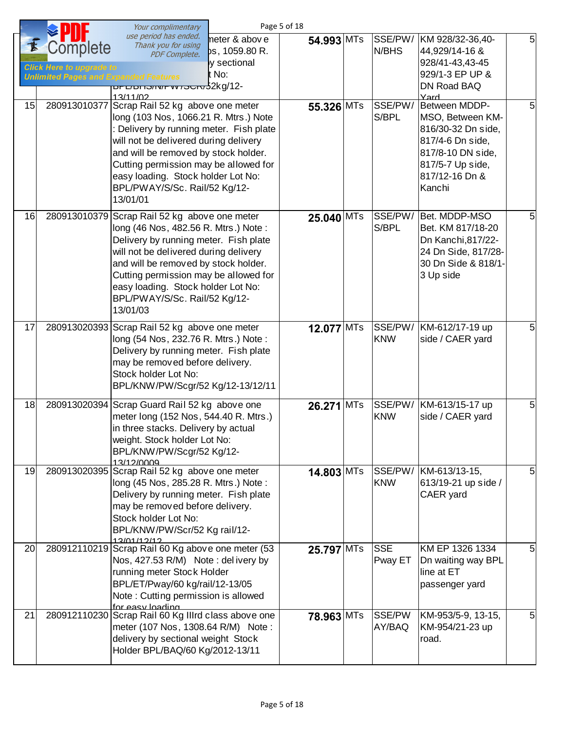|    |                                                                                                     | Your complimentary                                                                                                                                                                                                                                                                                                                           | Page 5 of 18 |                       |                                                                                                                                                  |   |
|----|-----------------------------------------------------------------------------------------------------|----------------------------------------------------------------------------------------------------------------------------------------------------------------------------------------------------------------------------------------------------------------------------------------------------------------------------------------------|--------------|-----------------------|--------------------------------------------------------------------------------------------------------------------------------------------------|---|
|    | <i>S</i> omplete<br><b>Click Here to upgrade to</b><br><b>Unlimited Pages and Expanded Features</b> | use period has ended.<br>neter & above<br>Thank you for using<br>ps, 1059.80 R.<br><b>PDF Complete.</b><br>ly sectional<br>t No:<br>13/11/02                                                                                                                                                                                                 | 54.993 MTs   | SSE/PW/<br>N/BHS      | KM 928/32-36,40-<br>44,929/14-16 &<br>928/41-43,43-45<br>929/1-3 EP UP &<br>DN Road BAQ<br>Yard                                                  | 5 |
| 15 |                                                                                                     | 280913010377 Scrap Rail 52 kg above one meter<br>long (103 Nos, 1066.21 R. Mtrs.) Note<br>Delivery by running meter. Fish plate<br>will not be delivered during delivery<br>and will be removed by stock holder.<br>Cutting permission may be allowed for<br>easy loading. Stock holder Lot No:<br>BPL/PWAY/S/Sc. Rail/52 Kg/12-<br>13/01/01 | 55.326 MTs   | SSE/PW/<br>S/BPL      | Between MDDP-<br>MSO, Between KM-<br>816/30-32 Dn side,<br>817/4-6 Dn side,<br>817/8-10 DN side,<br>817/5-7 Up side,<br>817/12-16 Dn &<br>Kanchi | 5 |
| 16 |                                                                                                     | 280913010379 Scrap Rail 52 kg above one meter<br>long (46 Nos, 482.56 R. Mtrs.) Note:<br>Delivery by running meter. Fish plate<br>will not be delivered during delivery<br>and will be removed by stock holder.<br>Cutting permission may be allowed for<br>easy loading. Stock holder Lot No:<br>BPL/PWAY/S/Sc. Rail/52 Kg/12-<br>13/01/03  | 25.040 MTs   | SSE/PW/<br>S/BPL      | Bet. MDDP-MSO<br>Bet. KM 817/18-20<br>Dn Kanchi, 817/22-<br>24 Dn Side, 817/28-<br>30 Dn Side & 818/1-<br>3 Up side                              | 5 |
| 17 |                                                                                                     | 280913020393 Scrap Rail 52 kg above one meter<br>long (54 Nos, 232.76 R. Mtrs.) Note:<br>Delivery by running meter. Fish plate<br>may be removed before delivery.<br>Stock holder Lot No:<br>BPL/KNW/PW/Scgr/52 Kg/12-13/12/11                                                                                                               | $12.077$ MTs | SSE/PW/<br><b>KNW</b> | KM-612/17-19 up<br>side / CAER yard                                                                                                              | 5 |
| 18 |                                                                                                     | 280913020394 Scrap Guard Rail 52 kg above one<br>meter long (152 Nos, 544.40 R. Mtrs.)<br>in three stacks. Delivery by actual<br>weight. Stock holder Lot No:<br>BPL/KNW/PW/Scgr/52 Kg/12-<br>13/12/0009                                                                                                                                     | 26.271 MTs   | SSE/PW/<br><b>KNW</b> | KM-613/15-17 up<br>side / CAER yard                                                                                                              | 5 |
| 19 |                                                                                                     | 280913020395 Scrap Rail 52 kg above one meter<br>long (45 Nos, 285.28 R. Mtrs.) Note:<br>Delivery by running meter. Fish plate<br>may be removed before delivery.<br>Stock holder Lot No:<br>BPL/KNW/PW/Scr/52 Kg rail/12-<br>13/01/19/19                                                                                                    | 14.803 MTs   | SSE/PW/<br><b>KNW</b> | KM-613/13-15,<br>613/19-21 up side /<br>CAER yard                                                                                                | 5 |
| 20 |                                                                                                     | 280912110219 Scrap Rail 60 Kg above one meter (53<br>Nos, 427.53 R/M) Note: delivery by<br>running meter Stock Holder<br>BPL/ET/Pway/60 kg/rail/12-13/05<br>Note: Cutting permission is allowed<br>for easy loading                                                                                                                          | 25.797 MTs   | <b>SSE</b><br>Pway ET | KM EP 1326 1334<br>Dn waiting way BPL<br>line at ET<br>passenger yard                                                                            | 5 |
| 21 |                                                                                                     | 280912110230 Scrap Rail 60 Kg Illrd class above one<br>meter (107 Nos, 1308.64 R/M) Note:<br>delivery by sectional weight Stock<br>Holder BPL/BAQ/60 Kg/2012-13/11                                                                                                                                                                           | 78.963 MTs   | SSE/PW<br>AY/BAQ      | KM-953/5-9, 13-15,<br>KM-954/21-23 up<br>road.                                                                                                   | 5 |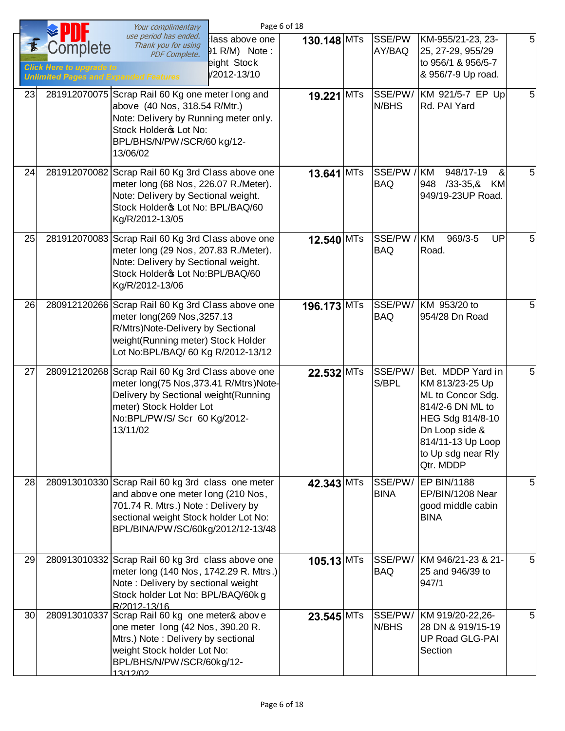|    |                                                                                            | Your complimentary                                                                                                                                                                                          |                                                                | Page 6 of 18 |                           |                                                                                                                                                                             |                |
|----|--------------------------------------------------------------------------------------------|-------------------------------------------------------------------------------------------------------------------------------------------------------------------------------------------------------------|----------------------------------------------------------------|--------------|---------------------------|-----------------------------------------------------------------------------------------------------------------------------------------------------------------------------|----------------|
|    | omplete<br><b>Click Here to upgrade to</b><br><b>Unlimited Pages and Expanded Features</b> | use period has ended.<br>Thank you for using<br><b>PDF Complete.</b>                                                                                                                                        | lass above one<br>91 R/M) Note:<br>eight Stock<br>y/2012-13/10 | 130.148 MTs  | SSE/PW<br>AY/BAQ          | KM-955/21-23, 23-<br>25, 27-29, 955/29<br>to 956/1 & 956/5-7<br>& 956/7-9 Up road.                                                                                          | 5 <sup>1</sup> |
| 23 |                                                                                            | 281912070075 Scrap Rail 60 Kg one meter long and<br>above (40 Nos, 318.54 R/Mtr.)<br>Note: Delivery by Running meter only.<br>Stock Holder & Lot No:<br>BPL/BHS/N/PW/SCR/60 kg/12-<br>13/06/02              |                                                                | 19.221 MTs   | SSE/PW/<br>N/BHS          | KM 921/5-7 EP Up<br>Rd. PAI Yard                                                                                                                                            | 5 <sup>1</sup> |
| 24 |                                                                                            | 281912070082 Scrap Rail 60 Kg 3rd Class above one<br>meter long (68 Nos, 226.07 R./Meter).<br>Note: Delivery by Sectional weight.<br>Stock Holdero Lot No: BPL/BAQ/60<br>Kg/R/2012-13/05                    |                                                                | 13.641 MTs   | SSE/PW / KM<br><b>BAQ</b> | 948/17-19<br>&<br>948<br>/33-35,& KM<br>949/19-23UP Road.                                                                                                                   | 5 <sup>1</sup> |
| 25 |                                                                                            | 281912070083 Scrap Rail 60 Kg 3rd Class above one<br>meter long (29 Nos, 207.83 R./Meter).<br>Note: Delivery by Sectional weight.<br>Stock Holdero Lot No: BPL/BAQ/60<br>Kg/R/2012-13/06                    |                                                                | 12.540 MTs   | SSE/PW / KM<br><b>BAQ</b> | 969/3-5<br>UP<br>Road.                                                                                                                                                      | 5 <sup>1</sup> |
| 26 |                                                                                            | 280912120266 Scrap Rail 60 Kg 3rd Class above one<br>meter long(269 Nos, 3257.13<br>R/Mtrs)Note-Delivery by Sectional<br>weight(Running meter) Stock Holder<br>Lot No:BPL/BAQ/ 60 Kg R/2012-13/12           |                                                                | 196.173 MTs  | SSE/PW/<br><b>BAQ</b>     | KM 953/20 to<br>954/28 Dn Road                                                                                                                                              | 5              |
| 27 |                                                                                            | 280912120268 Scrap Rail 60 Kg 3rd Class above one<br>meter long(75 Nos, 373.41 R/Mtrs)Note-<br>Delivery by Sectional weight(Running<br>meter) Stock Holder Lot<br>No:BPL/PW/S/ Scr 60 Kg/2012-<br>13/11/02  |                                                                | $22.532$ MTs | SSE/PW/<br>S/BPL          | Bet. MDDP Yard in<br>KM 813/23-25 Up<br>ML to Concor Sdg.<br>814/2-6 DN ML to<br>HEG Sdg 814/8-10<br>Dn Loop side &<br>814/11-13 Up Loop<br>to Up sdg near Rly<br>Qtr. MDDP | 5 <sup>1</sup> |
| 28 |                                                                                            | 280913010330 Scrap Rail 60 kg 3rd class one meter<br>and above one meter long (210 Nos,<br>701.74 R. Mtrs.) Note: Delivery by<br>sectional weight Stock holder Lot No:<br>BPL/BINA/PW/SC/60kg/2012/12-13/48 |                                                                | $42.343$ MTs | SSE/PW/<br><b>BINA</b>    | <b>EP BIN/1188</b><br>EP/BIN/1208 Near<br>good middle cabin<br><b>BINA</b>                                                                                                  | 5 <sup>1</sup> |
| 29 |                                                                                            | 280913010332 Scrap Rail 60 kg 3rd class above one<br>meter long (140 Nos, 1742.29 R. Mtrs.)<br>Note: Delivery by sectional weight<br>Stock holder Lot No: BPL/BAQ/60k g<br>R/2012-13/16                     |                                                                | $105.13$ MTs | SSE/PW/<br><b>BAQ</b>     | KM 946/21-23 & 21-<br>25 and 946/39 to<br>947/1                                                                                                                             | 5 <sup>1</sup> |
| 30 |                                                                                            | 280913010337 Scrap Rail 60 kg one meter& above<br>one meter long (42 Nos, 390.20 R.<br>Mtrs.) Note: Delivery by sectional<br>weight Stock holder Lot No:<br>BPL/BHS/N/PW/SCR/60kg/12-<br>13/12/02           |                                                                | $23.545$ MTs | SSE/PW/<br>N/BHS          | KM 919/20-22,26-<br>28 DN & 919/15-19<br><b>UP Road GLG-PAI</b><br>Section                                                                                                  | 5 <sub>l</sub> |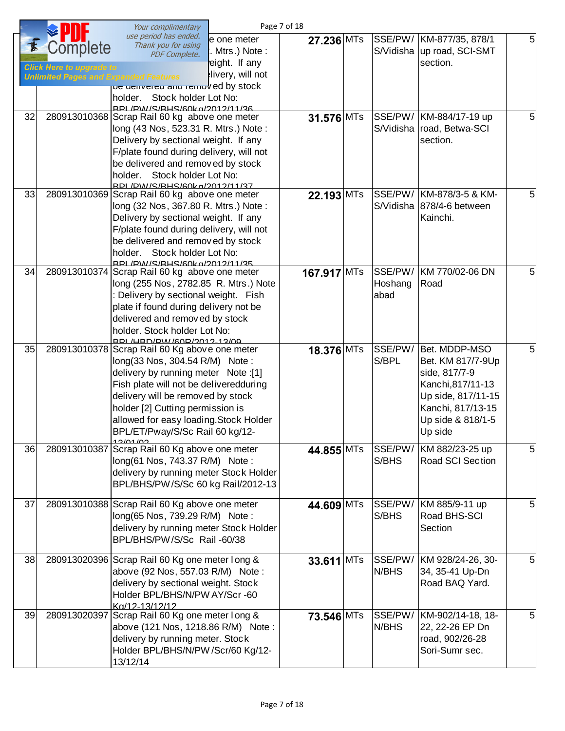|                       |                                                                                             | Your complimentary                                                                                                                                                                                                                                                                                                       | Page 7 of 18 |                            |                                                                                                                                                     |   |
|-----------------------|---------------------------------------------------------------------------------------------|--------------------------------------------------------------------------------------------------------------------------------------------------------------------------------------------------------------------------------------------------------------------------------------------------------------------------|--------------|----------------------------|-----------------------------------------------------------------------------------------------------------------------------------------------------|---|
| $\blacktriangleright$ | Complete<br><b>Click Here to upgrade to</b><br><b>Unlimited Pages and Expanded Features</b> | use period has ended.<br>e one meter<br>Thank you for using<br>. Mtrs.) Note :<br><b>PDF Complete.</b><br>reight. If any<br>livery, will not<br><mark>pe denvered and remov</mark> ed by stock<br>holder. Stock holder Lot No:                                                                                           | 27.236 MTs   |                            | SSE/PW/ KM-877/35, 878/1<br>S/Vidisha up road, SCI-SMT<br>section.                                                                                  | 5 |
| 32                    |                                                                                             | RPL/PW/S/RHS/60kg/2012/11/36<br>280913010368 Scrap Rail 60 kg above one meter<br>long (43 Nos, 523.31 R. Mtrs.) Note:<br>Delivery by sectional weight. If any<br>F/plate found during delivery, will not<br>be delivered and removed by stock<br>holder. Stock holder Lot No:                                            | 31.576 MTs   |                            | SSE/PW/ KM-884/17-19 up<br>S/Vidisha   road, Betwa-SCI<br>section.                                                                                  | 5 |
| 33                    |                                                                                             | RDI / DIM / S/RHS/60k a/2012/11/37<br>280913010369 Scrap Rail 60 kg above one meter<br>long (32 Nos, 367.80 R. Mtrs.) Note:<br>Delivery by sectional weight. If any<br>F/plate found during delivery, will not<br>be delivered and removed by stock<br>holder. Stock holder Lot No:<br>RDI / DW / S/RHS/60k a/2012/11/35 | 22.193 MTs   |                            | SSE/PW/ KM-878/3-5 & KM-<br>S/Vidisha 878/4-6 between<br>Kainchi.                                                                                   | 5 |
| 34                    |                                                                                             | 280913010374 Scrap Rail 60 kg above one meter<br>long (255 Nos, 2782.85 R. Mtrs.) Note<br>Delivery by sectional weight. Fish<br>plate if found during delivery not be<br>delivered and removed by stock<br>holder. Stock holder Lot No:<br>RDI /HRD/DW/60R/2012-13/09                                                    | 167.917 MTs  | SSE/PW/<br>Hoshang<br>abad | KM 770/02-06 DN<br>Road                                                                                                                             | 5 |
| 35                    |                                                                                             | 280913010378 Scrap Rail 60 Kg above one meter<br>long(33 Nos, 304.54 R/M) Note:<br>delivery by running meter Note :[1]<br>Fish plate will not be deliveredduring<br>delivery will be removed by stock<br>holder [2] Cutting permission is<br>allowed for easy loading. Stock Holder<br>BPL/ET/Pway/S/Sc Rail 60 kg/12-   | 18.376 MTs   | SSE/PW/<br>S/BPL           | Bet. MDDP-MSO<br>Bet. KM 817/7-9Up<br>side, 817/7-9<br>Kanchi, 817/11-13<br>Up side, 817/11-15<br>Kanchi, 817/13-15<br>Up side & 818/1-5<br>Up side | 5 |
| 36                    |                                                                                             | 12/01/02<br>280913010387 Scrap Rail 60 Kg above one meter<br>long(61 Nos, 743.37 R/M) Note:<br>delivery by running meter Stock Holder<br>BPL/BHS/PW/S/Sc 60 kg Rail/2012-13                                                                                                                                              | 44.855 MTs   | SSE/PW/<br>S/BHS           | KM 882/23-25 up<br>Road SCI Section                                                                                                                 | 5 |
| 37                    |                                                                                             | 280913010388 Scrap Rail 60 Kg above one meter<br>long(65 Nos, 739.29 R/M) Note:<br>delivery by running meter Stock Holder<br>BPL/BHS/PW/S/Sc Rail -60/38                                                                                                                                                                 | 44.609 MTs   | SSE/PW/<br>S/BHS           | KM 885/9-11 up<br>Road BHS-SCI<br>Section                                                                                                           | 5 |
| 38                    |                                                                                             | 280913020396 Scrap Rail 60 Kg one meter long &<br>above (92 Nos, 557.03 R/M) Note:<br>delivery by sectional weight. Stock<br>Holder BPL/BHS/N/PW AY/Scr -60<br>Ka/12-13/12/12                                                                                                                                            | 33.611 MTs   | SSE/PW/<br>N/BHS           | KM 928/24-26, 30-<br>34, 35-41 Up-Dn<br>Road BAQ Yard.                                                                                              | 5 |
| 39                    |                                                                                             | 280913020397 Scrap Rail 60 Kg one meter long &<br>above (121 Nos, 1218.86 R/M) Note:<br>delivery by running meter. Stock<br>Holder BPL/BHS/N/PW /Scr/60 Kg/12-<br>13/12/14                                                                                                                                               | 73.546 MTs   | SSE/PW/<br>N/BHS           | KM-902/14-18, 18-<br>22, 22-26 EP Dn<br>road, 902/26-28<br>Sori-Sumr sec.                                                                           | 5 |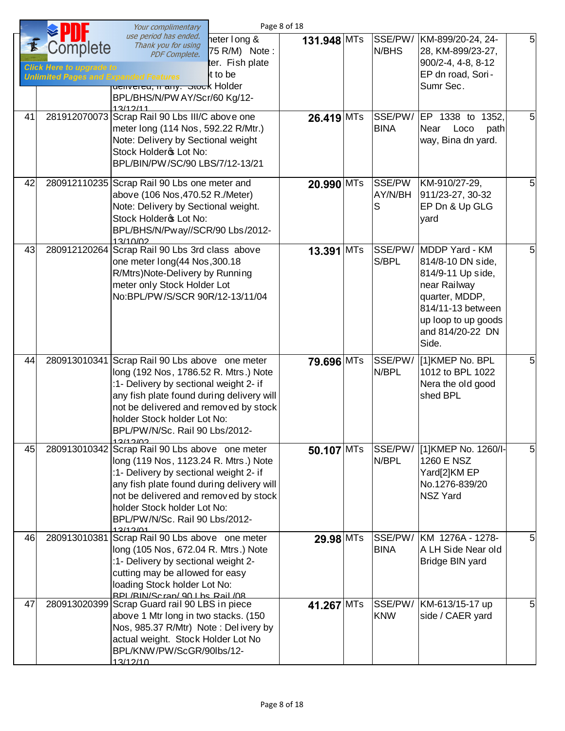|    |                                                                                                     | Your complimentary                                                                                                                                                                                                                                                                                   | Page 8 of 18 |                        |                                                                                                                                                                     |   |
|----|-----------------------------------------------------------------------------------------------------|------------------------------------------------------------------------------------------------------------------------------------------------------------------------------------------------------------------------------------------------------------------------------------------------------|--------------|------------------------|---------------------------------------------------------------------------------------------------------------------------------------------------------------------|---|
|    | <i>S</i> omplete<br><b>Click Here to upgrade to</b><br><b>Unlimited Pages and Expanded Features</b> | use period has ended.<br>neter long &<br>Thank you for using<br>75 R/M) Note:<br>PDF Complete.<br>ter. Fish plate<br>it to be<br>denvered, in any. Stock Holder<br>BPL/BHS/N/PW AY/Scr/60 Kg/12-<br>13/12/11                                                                                         | 131.948 MTs  | SSE/PW/<br>N/BHS       | KM-899/20-24, 24-<br>28, KM-899/23-27,<br>900/2-4, 4-8, 8-12<br>EP dn road, Sori-<br>Sumr Sec.                                                                      | 5 |
| 41 |                                                                                                     | 281912070073 Scrap Rail 90 Lbs III/C above one<br>meter long (114 Nos, 592.22 R/Mtr.)<br>Note: Delivery by Sectional weight<br>Stock Holdero Lot No:<br>BPL/BIN/PW/SC/90 LBS/7/12-13/21                                                                                                              | 26.419 MTs   | SSE/PW/<br><b>BINA</b> | EP 1338 to 1352,<br>Near<br>Loco<br>path<br>way, Bina dn yard.                                                                                                      | 5 |
| 42 |                                                                                                     | 280912110235 Scrap Rail 90 Lbs one meter and<br>above (106 Nos, 470.52 R./Meter)<br>Note: Delivery by Sectional weight.<br>Stock Holdero Lot No:<br>BPL/BHS/N/Pway//SCR/90 Lbs/2012-<br>13/10/02                                                                                                     | 20.990 MTs   | SSE/PW<br>AY/N/BH<br>S | KM-910/27-29,<br>911/23-27, 30-32<br>EP Dn & Up GLG<br>yard                                                                                                         | 5 |
| 43 |                                                                                                     | 280912120264 Scrap Rail 90 Lbs 3rd class above<br>one meter long(44 Nos, 300.18<br>R/Mtrs)Note-Delivery by Running<br>meter only Stock Holder Lot<br>No:BPL/PW/S/SCR 90R/12-13/11/04                                                                                                                 | 13.391 MTs   | SSE/PW/<br>S/BPL       | MDDP Yard - KM<br>814/8-10 DN side,<br>814/9-11 Up side,<br>near Railway<br>quarter, MDDP,<br>814/11-13 between<br>up loop to up goods<br>and 814/20-22 DN<br>Side. | 5 |
| 44 |                                                                                                     | 280913010341 Scrap Rail 90 Lbs above one meter<br>long (192 Nos, 1786.52 R. Mtrs.) Note<br>:1- Delivery by sectional weight 2- if<br>any fish plate found during delivery will<br>not be delivered and removed by stock<br>holder Stock holder Lot No:<br>BPL/PW/N/Sc. Rail 90 Lbs/2012-<br>12/12/02 | 79.696 MTs   | SSE/PW/<br>N/BPL       | [1]KMEP No. BPL<br>1012 to BPL 1022<br>Nera the old good<br>shed BPL                                                                                                | 5 |
| 45 |                                                                                                     | 280913010342 Scrap Rail 90 Lbs above one meter<br>long (119 Nos, 1123.24 R. Mtrs.) Note<br>:1- Delivery by sectional weight 2- if<br>any fish plate found during delivery will<br>not be delivered and removed by stock<br>holder Stock holder Lot No:<br>BPL/PW/N/Sc. Rail 90 Lbs/2012-<br>12/12/01 | 50.107 MTs   | SSE/PW/<br>N/BPL       | [1]KMEP No. 1260/I-<br>1260 E NSZ<br>Yard[2]KM EP<br>No.1276-839/20<br><b>NSZ Yard</b>                                                                              | 5 |
| 46 |                                                                                                     | 280913010381 Scrap Rail 90 Lbs above one meter<br>long (105 Nos, 672.04 R. Mtrs.) Note<br>:1- Delivery by sectional weight 2-<br>cutting may be allowed for easy<br>loading Stock holder Lot No:<br>RPL/RIN/Scran/ 90 Lbs Rail /08                                                                   | 29.98 MTs    | SSE/PW/<br><b>BINA</b> | KM 1276A - 1278-<br>A LH Side Near old<br>Bridge BIN yard                                                                                                           | 5 |
| 47 |                                                                                                     | 280913020399 Scrap Guard rail 90 LBS in piece<br>above 1 Mtr long in two stacks. (150<br>Nos, 985.37 R/Mtr) Note: Delivery by<br>actual weight. Stock Holder Lot No<br>BPL/KNW/PW/ScGR/90lbs/12-<br>13/12/10                                                                                         | 41.267 MTs   | SSE/PW/<br><b>KNW</b>  | KM-613/15-17 up<br>side / CAER yard                                                                                                                                 | 5 |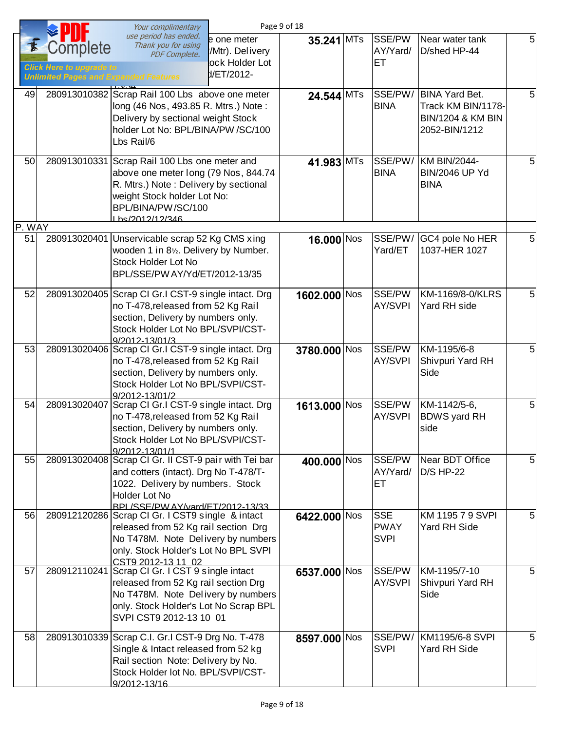|        |                                                                                             | Your complimentary                                                                                                                                                                                     | Page 9 of 18 |                                          |                                                                                              |   |
|--------|---------------------------------------------------------------------------------------------|--------------------------------------------------------------------------------------------------------------------------------------------------------------------------------------------------------|--------------|------------------------------------------|----------------------------------------------------------------------------------------------|---|
|        | complete<br><b>Click Here to upgrade to</b><br><b>Unlimited Pages and Expanded Features</b> | use period has ended.<br>e one meter<br>Thank you for using<br>:/Mtr). Delivery<br>PDF Complete.<br>ock Holder Lot<br>d/ET/2012-                                                                       | 35.241 MTs   | <b>SSE/PW</b><br>AY/Yard/<br>ET          | Near water tank<br>D/shed HP-44                                                              | 5 |
| 49     |                                                                                             | 280913010382 Scrap Rail 100 Lbs above one meter<br>long (46 Nos, 493.85 R. Mtrs.) Note:<br>Delivery by sectional weight Stock<br>holder Lot No: BPL/BINA/PW /SC/100<br>Lbs Rail/6                      | 24.544 MTs   | SSE/PW/<br><b>BINA</b>                   | <b>BINA Yard Bet.</b><br>Track KM BIN/1178-<br><b>BIN/1204 &amp; KM BIN</b><br>2052-BIN/1212 | 5 |
| 50     |                                                                                             | 280913010331 Scrap Rail 100 Lbs one meter and<br>above one meter long (79 Nos, 844.74<br>R. Mtrs.) Note: Delivery by sectional<br>weight Stock holder Lot No:<br>BPL/BINA/PW/SC/100<br>Lhs/2012/12/346 | 41.983 MTs   | SSE/PW/<br><b>BINA</b>                   | <b>KM BIN/2044-</b><br><b>BIN/2046 UP Yd</b><br><b>BINA</b>                                  | 5 |
| P. WAY |                                                                                             |                                                                                                                                                                                                        |              |                                          |                                                                                              |   |
| 51     |                                                                                             | 280913020401 Unservicable scrap 52 Kg CMS xing<br>wooden 1 in 81/2. Delivery by Number.<br>Stock Holder Lot No<br>BPL/SSE/PW AY/Yd/ET/2012-13/35                                                       | 16.000 Nos   | Yard/ET                                  | SSE/PW/ GC4 pole No HER<br>1037-HER 1027                                                     | 5 |
| 52     |                                                                                             | 280913020405 Scrap CI Gr.I CST-9 single intact. Drg<br>no T-478, released from 52 Kg Rail<br>section, Delivery by numbers only.<br>Stock Holder Lot No BPL/SVPI/CST-<br>9/2012-13/01/3                 | 1602.000 Nos | SSE/PW<br><b>AY/SVPI</b>                 | KM-1169/8-0/KLRS<br>Yard RH side                                                             | 5 |
| 53     |                                                                                             | 280913020406 Scrap CI Gr.I CST-9 single intact. Drg<br>no T-478, released from 52 Kg Rail<br>section, Delivery by numbers only.<br>Stock Holder Lot No BPL/SVPI/CST-<br>9/2012-13/01/2                 | 3780.000 Nos | SSE/PW<br><b>AY/SVPI</b>                 | KM-1195/6-8<br>Shivpuri Yard RH<br>Side                                                      | 5 |
| 54     | 280913020407                                                                                | Scrap CI Gr.I CST-9 single intact. Drg<br>no T-478, released from 52 Kg Rail<br>section, Delivery by numbers only.<br>Stock Holder Lot No BPL/SVPI/CST-<br>9/2012-13/01/1                              | 1613.000 Nos | SSE/PW<br><b>AY/SVPI</b>                 | KM-1142/5-6,<br><b>BDWS yard RH</b><br>side                                                  | 5 |
| 55     |                                                                                             | 280913020408 Scrap CI Gr. II CST-9 pair with Tei bar<br>and cotters (intact). Drg No T-478/T-<br>1022. Delivery by numbers. Stock<br><b>Holder Lot No</b><br>RPI /SSE/PW AY/vard/FT/2012-13/33         | 400,000 Nos  | SSE/PW<br>AY/Yard/<br>ET                 | Near BDT Office<br><b>D/S HP-22</b>                                                          | 5 |
| 56     |                                                                                             | 280912120286 Scrap CI Gr. I CST9 single & intact<br>released from 52 Kg rail section Drg<br>No T478M. Note Delivery by numbers<br>only. Stock Holder's Lot No BPL SVPI<br>CST9 2012-13 11 02           | 6422.000 Nos | <b>SSE</b><br><b>PWAY</b><br><b>SVPI</b> | KM 1195 7 9 SVPI<br>Yard RH Side                                                             | 5 |
| 57     |                                                                                             | 280912110241 Scrap CI Gr. I CST 9 single intact<br>released from 52 Kg rail section Drg<br>No T478M. Note Delivery by numbers<br>only. Stock Holder's Lot No Scrap BPL<br>SVPI CST9 2012-13 10 01      | 6537.000 Nos | SSE/PW<br><b>AY/SVPI</b>                 | KM-1195/7-10<br>Shivpuri Yard RH<br>Side                                                     | 5 |
| 58     |                                                                                             | 280913010339 Scrap C.I. Gr.I CST-9 Drg No. T-478<br>Single & Intact released from 52 kg<br>Rail section Note: Delivery by No.<br>Stock Holder lot No. BPL/SVPI/CST-<br>9/2012-13/16                    | 8597.000 Nos | SSE/PW/<br><b>SVPI</b>                   | KM1195/6-8 SVPI<br>Yard RH Side                                                              | 5 |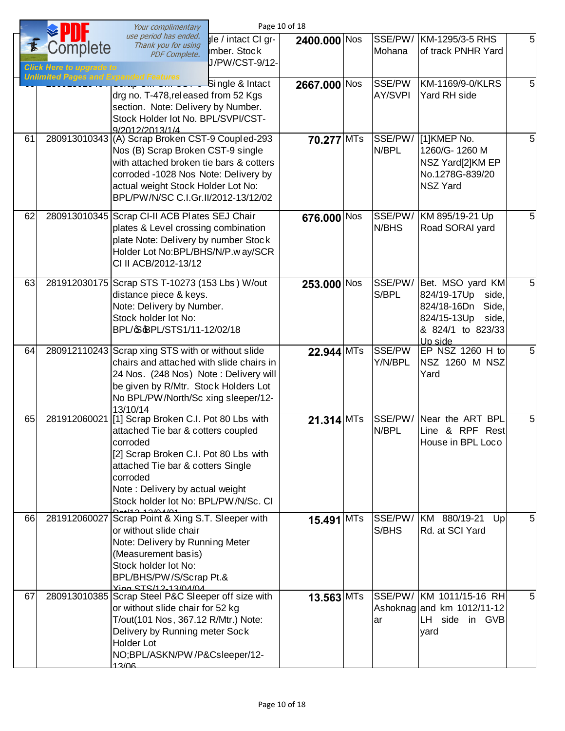|    |                                                                                 | Your complimentary                                                                                                                                                                                                                                                                   |                                                              | Page 10 of 18 |                          |                                                                                                                          |                |
|----|---------------------------------------------------------------------------------|--------------------------------------------------------------------------------------------------------------------------------------------------------------------------------------------------------------------------------------------------------------------------------------|--------------------------------------------------------------|---------------|--------------------------|--------------------------------------------------------------------------------------------------------------------------|----------------|
|    | omplete                                                                         | use period has ended.<br>Thank you for using<br>PDF Complete.                                                                                                                                                                                                                        | yle / intact CI gr-<br><b>Imber. Stock</b><br>J/PW/CST-9/12- | 2400.000 Nos  | SSE/PW/<br>Mohana        | KM-1295/3-5 RHS<br>of track PNHR Yard                                                                                    | 5 <sup>1</sup> |
|    | <b>Click Here to upgrade to</b><br><b>Unlimited Pages and Expanded Features</b> |                                                                                                                                                                                                                                                                                      |                                                              |               |                          |                                                                                                                          |                |
|    |                                                                                 | drg no. T-478, released from 52 Kgs<br>section. Note: Delivery by Number.<br>Stock Holder lot No. BPL/SVPI/CST-<br>9/2012/2013/1/4                                                                                                                                                   | Single & Intact                                              | 2667.000 Nos  | SSE/PW<br><b>AY/SVPI</b> | KM-1169/9-0/KLRS<br>Yard RH side                                                                                         | 5              |
| 61 |                                                                                 | 280913010343 (A) Scrap Broken CST-9 Coupled-293<br>Nos (B) Scrap Broken CST-9 single<br>with attached broken tie bars & cotters<br>corroded -1028 Nos Note: Delivery by<br>actual weight Stock Holder Lot No:<br>BPL/PW/N/SC C.I.Gr.II/2012-13/12/02                                 |                                                              | 70.277 MTs    | SSE/PW/<br>N/BPL         | [1]KMEP No.<br>1260/G-1260 M<br>NSZ Yard[2]KM EP<br>No.1278G-839/20<br><b>NSZ Yard</b>                                   | 5              |
| 62 |                                                                                 | 280913010345 Scrap CI-II ACB Plates SEJ Chair<br>plates & Level crossing combination<br>plate Note: Delivery by number Stock<br>Holder Lot No:BPL/BHS/N/P.w ay/SCR<br>CI II ACB/2012-13/12                                                                                           |                                                              | 676.000 Nos   | SSE/PW/<br>N/BHS         | KM 895/19-21 Up<br>Road SORAI yard                                                                                       | 5              |
| 63 |                                                                                 | 281912030175 Scrap STS T-10273 (153 Lbs) W/out<br>distance piece & keys.<br>Note: Delivery by Number.<br>Stock holder lot No:<br>BPL/@@PL/STS1/11-12/02/18                                                                                                                           |                                                              | 253.000 Nos   | SSE/PW/<br>S/BPL         | Bet. MSO yard KM<br>824/19-17Up<br>side,<br>824/18-16Dn<br>Side,<br>824/15-13Up<br>side,<br>& 824/1 to 823/33<br>Up side | 5 <sub>l</sub> |
| 64 |                                                                                 | 280912110243 Scrap xing STS with or without slide<br>chairs and attached with slide chairs in<br>24 Nos. (248 Nos) Note: Delivery will<br>be given by R/Mtr. Stock Holders Lot<br>No BPL/PW/North/Sc xing sleeper/12-<br>13/10/14                                                    |                                                              | 22.944 MTs    | SSE/PW<br>Y/N/BPL        | EP NSZ 1260 H to<br>NSZ 1260 M NSZ<br>Yard                                                                               | 5              |
| 65 | 281912060021                                                                    | [1] Scrap Broken C.I. Pot 80 Lbs with<br>attached Tie bar & cotters coupled<br>corroded<br>[2] Scrap Broken C.I. Pot 80 Lbs with<br>attached Tie bar & cotters Single<br>corroded<br>Note: Delivery by actual weight<br>Stock holder lot No: BPL/PW/N/Sc. CI<br>$D_{24}/40.42/04/04$ |                                                              | 21.314 MTs    | SSE/PW/<br>N/BPL         | Near the ART BPL<br>Line & RPF Rest<br>House in BPL Loco                                                                 | 5 <sub>l</sub> |
| 66 |                                                                                 | 281912060027 Scrap Point & Xing S.T. Sleeper with<br>or without slide chair<br>Note: Delivery by Running Meter<br>(Measurement basis)<br>Stock holder lot No:<br>BPL/BHS/PW/S/Scrap Pt.&<br><u>Ving STS/12-13/04/04</u>                                                              |                                                              | 15.491 MTs    | SSE/PW/<br>S/BHS         | KM 880/19-21<br>Up<br>Rd. at SCI Yard                                                                                    | 5              |
| 67 |                                                                                 | 280913010385 Scrap Steel P&C Sleeper off size with<br>or without slide chair for 52 kg<br>T/out(101 Nos, 367.12 R/Mtr.) Note:<br>Delivery by Running meter Sock<br><b>Holder Lot</b><br>NO;BPL/ASKN/PW/P&Csleeper/12-<br>13/06                                                       |                                                              | 13.563 MTs    | ar                       | SSE/PW/ KM 1011/15-16 RH<br>Ashoknag and km 1012/11-12<br>LH side in GVB<br>yard                                         | 5 <sub>l</sub> |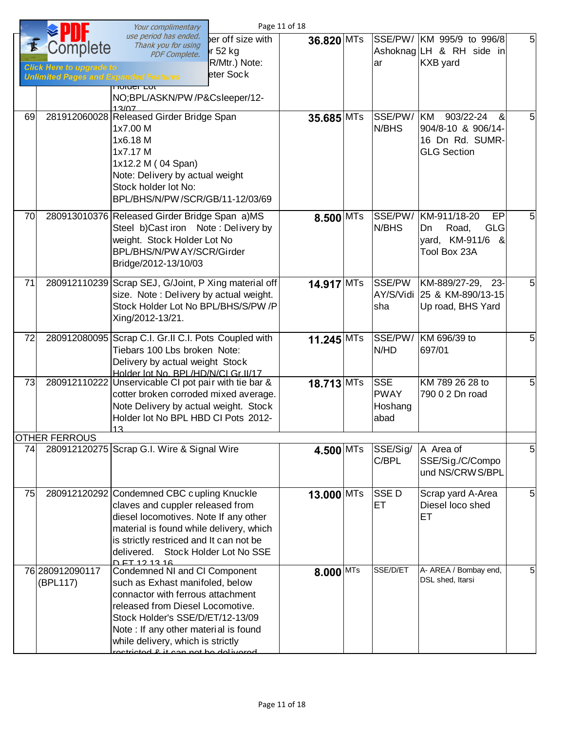|    |                                                                                             | Your complimentary                                                                                                                                                                                                                                                                                 |                                                                       | Page 11 of 18 |                                              |                                                                                           |                |
|----|---------------------------------------------------------------------------------------------|----------------------------------------------------------------------------------------------------------------------------------------------------------------------------------------------------------------------------------------------------------------------------------------------------|-----------------------------------------------------------------------|---------------|----------------------------------------------|-------------------------------------------------------------------------------------------|----------------|
|    | Complete<br><b>Click Here to upgrade to</b><br><b>Unlimited Pages and Expanded Features</b> | use period has ended.<br>Thank you for using<br>PDF Complete.<br><b>HUIUEI LUI</b><br>NO;BPL/ASKN/PW/P&Csleeper/12-                                                                                                                                                                                | ber off size with<br>$\overline{52}$ kg<br>R/Mtr.) Note:<br>eter Sock | 36.820 MTs    | ar                                           | SSE/PW/ KM 995/9 to 996/8<br>Ashoknag LH & RH side in<br><b>KXB</b> yard                  | 5 <sup>1</sup> |
| 69 |                                                                                             | 13/07<br>281912060028 Released Girder Bridge Span<br>1x7.00 M<br>1x6.18 M<br>1x7.17 M<br>1x12.2 M (04 Span)<br>Note: Delivery by actual weight<br>Stock holder lot No:<br>BPL/BHS/N/PW/SCR/GB/11-12/03/69                                                                                          |                                                                       | 35.685 MTs    | SSE/PW/<br>N/BHS                             | KM<br>903/22-24<br>&<br>904/8-10 & 906/14-<br>16 Dn Rd. SUMR-<br><b>GLG Section</b>       | 5              |
| 70 |                                                                                             | 280913010376 Released Girder Bridge Span a)MS<br>Steel b) Cast iron Note: Delivery by<br>weight. Stock Holder Lot No<br>BPL/BHS/N/PW AY/SCR/Girder<br>Bridge/2012-13/10/03                                                                                                                         |                                                                       | 8.500 MTs     | SSE/PW/<br>N/BHS                             | KM-911/18-20<br>EP<br><b>GLG</b><br>Road,<br>Dn.<br>yard, KM-911/6<br>- &<br>Tool Box 23A | 5              |
| 71 |                                                                                             | 280912110239 Scrap SEJ, G/Joint, P Xing material off<br>size. Note: Delivery by actual weight.<br>Stock Holder Lot No BPL/BHS/S/PW /P<br>Xing/2012-13/21.                                                                                                                                          |                                                                       | 14.917 MTs    | SSE/PW<br>AY/S/Vidi<br>sha                   | KM-889/27-29, 23-<br>25 & KM-890/13-15<br>Up road, BHS Yard                               | 5              |
| 72 |                                                                                             | 280912080095 Scrap C.I. Gr.II C.I. Pots Coupled with<br>Tiebars 100 Lbs broken Note:<br>Delivery by actual weight Stock<br>Holder lot No. BPL/HD/N/CLGr.II/17                                                                                                                                      |                                                                       | 11.245 MTs    | SSE/PW/<br>N/HD                              | KM 696/39 to<br>697/01                                                                    | 5              |
| 73 |                                                                                             | 280912110222 Unservicable CI pot pair with tie bar &<br>cotter broken corroded mixed average.<br>Note Delivery by actual weight. Stock<br>Holder lot No BPL HBD CI Pots 2012-<br>13                                                                                                                |                                                                       | $18.713$ MTs  | <b>SSE</b><br><b>PWAY</b><br>Hoshang<br>abad | KM 789 26 28 to<br>790 0 2 Dn road                                                        | 5              |
|    | <b>OTHER FERROUS</b>                                                                        |                                                                                                                                                                                                                                                                                                    |                                                                       |               |                                              |                                                                                           |                |
| 74 |                                                                                             | 280912120275 Scrap G.I. Wire & Signal Wire                                                                                                                                                                                                                                                         |                                                                       | 4.500 MTs     | SSE/Sig/<br>C/BPL                            | A Area of<br>SSE/Sig./C/Compo<br>und NS/CRW S/BPL                                         | 5              |
| 75 |                                                                                             | 280912120292 Condemned CBC cupling Knuckle<br>claves and cuppler released from<br>diesel locomotives. Note If any other<br>material is found while delivery, which<br>is strictly restriced and It can not be<br>delivered.<br>D ET 12 13 16                                                       | Stock Holder Lot No SSE                                               | 13.000 MTs    | <b>SSED</b><br>ЕT                            | Scrap yard A-Area<br>Diesel loco shed<br>ET                                               | 5              |
|    | 76 280912090117<br>(BPL117)                                                                 | Condemned NI and CI Component<br>such as Exhast manifoled, below<br>connactor with ferrous attachment<br>released from Diesel Locomotive.<br>Stock Holder's SSE/D/ET/12-13/09<br>Note: If any other material is found<br>while delivery, which is strictly<br>roctrictod & it can not be delivered |                                                                       | $8.000$ MTs   | SSE/D/ET                                     | A- AREA / Bombay end,<br>DSL shed, Itarsi                                                 | 5              |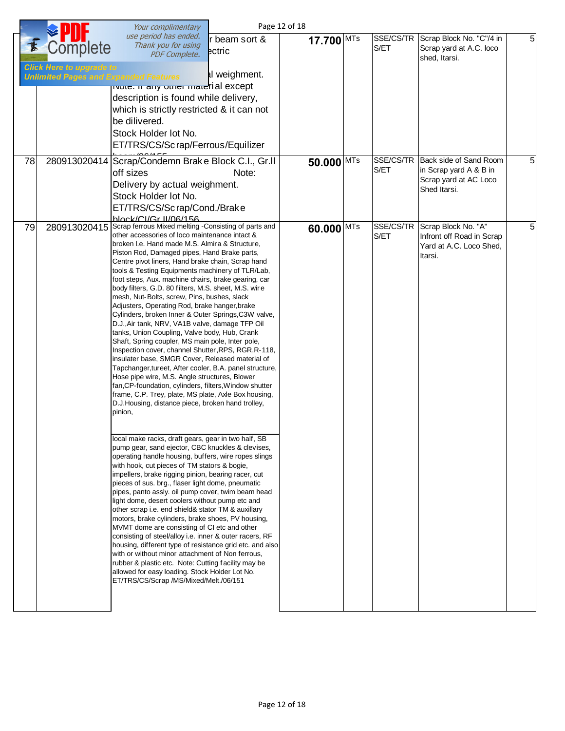|    |                                                                                 | Your complimentary                                                                                                                                                                                                                                                                                                                                                                                                                                                                                                                                                                                                                                                                                                                                                                                                                                                                                                                                                                                                                                                                                                                                                                                                                                                                                                                                                                                                                                                                                                                                                                                                                                                                                                                                                                                                                                                                                                                                                                                                                                                                                      |                         | Page 12 of 18         |                   |                                                                                           |   |
|----|---------------------------------------------------------------------------------|---------------------------------------------------------------------------------------------------------------------------------------------------------------------------------------------------------------------------------------------------------------------------------------------------------------------------------------------------------------------------------------------------------------------------------------------------------------------------------------------------------------------------------------------------------------------------------------------------------------------------------------------------------------------------------------------------------------------------------------------------------------------------------------------------------------------------------------------------------------------------------------------------------------------------------------------------------------------------------------------------------------------------------------------------------------------------------------------------------------------------------------------------------------------------------------------------------------------------------------------------------------------------------------------------------------------------------------------------------------------------------------------------------------------------------------------------------------------------------------------------------------------------------------------------------------------------------------------------------------------------------------------------------------------------------------------------------------------------------------------------------------------------------------------------------------------------------------------------------------------------------------------------------------------------------------------------------------------------------------------------------------------------------------------------------------------------------------------------------|-------------------------|-----------------------|-------------------|-------------------------------------------------------------------------------------------|---|
|    | Complete                                                                        | use period has ended.<br>Thank you for using<br><b>PDF Complete.</b>                                                                                                                                                                                                                                                                                                                                                                                                                                                                                                                                                                                                                                                                                                                                                                                                                                                                                                                                                                                                                                                                                                                                                                                                                                                                                                                                                                                                                                                                                                                                                                                                                                                                                                                                                                                                                                                                                                                                                                                                                                    | r beam sort &<br>ectric | 17.700 MTs            | SSE/CS/TR<br>S/ET | Scrap Block No. "C"/4 in<br>Scrap yard at A.C. loco<br>shed, Itarsi.                      | 5 |
|    | <b>Click Here to upgrade to</b><br><b>Unlimited Pages and Expanded Features</b> | <b>TNOTE.</b> IT any other material except<br>description is found while delivery,<br>which is strictly restricted & it can not<br>be dilivered.<br>Stock Holder lot No.<br>ET/TRS/CS/Scrap/Ferrous/Equilizer                                                                                                                                                                                                                                                                                                                                                                                                                                                                                                                                                                                                                                                                                                                                                                                                                                                                                                                                                                                                                                                                                                                                                                                                                                                                                                                                                                                                                                                                                                                                                                                                                                                                                                                                                                                                                                                                                           | al weighment.           |                       |                   |                                                                                           |   |
| 78 |                                                                                 | 280913020414 Scrap/Condemn Brake Block C.I., Gr.II<br>off sizes<br>Delivery by actual weighment.<br>Stock Holder lot No.<br>ET/TRS/CS/Scrap/Cond./Brake<br>block/Cl/Gr II/06/156                                                                                                                                                                                                                                                                                                                                                                                                                                                                                                                                                                                                                                                                                                                                                                                                                                                                                                                                                                                                                                                                                                                                                                                                                                                                                                                                                                                                                                                                                                                                                                                                                                                                                                                                                                                                                                                                                                                        | Note:                   | $50.000$ $\text{MTs}$ | SSE/CS/TR<br>S/ET | Back side of Sand Room<br>in Scrap yard A & B in<br>Scrap yard at AC Loco<br>Shed Itarsi. | 5 |
| 79 |                                                                                 | 280913020415 Scrap ferrous Mixed melting -Consisting of parts and<br>other accessories of loco maintenance intact &<br>broken I.e. Hand made M.S. Almira & Structure,<br>Piston Rod, Damaged pipes, Hand Brake parts,<br>Centre pivot liners, Hand brake chain, Scrap hand<br>tools & Testing Equipments machinery of TLR/Lab,<br>foot steps, Aux. machine chairs, brake gearing, car<br>body filters, G.D. 80 filters, M.S. sheet, M.S. wire<br>mesh, Nut-Bolts, screw, Pins, bushes, slack<br>Adjusters, Operating Rod, brake hanger, brake<br>Cylinders, broken Inner & Outer Springs, C3W valve,<br>D.J., Air tank, NRV, VA1B valve, damage TFP Oil<br>tanks, Union Coupling, Valve body, Hub, Crank<br>Shaft, Spring coupler, MS main pole, Inter pole,<br>Inspection cover, channel Shutter, RPS, RGR, R-118,<br>insulater base, SMGR Cover, Released material of<br>Tapchanger, tureet, After cooler, B.A. panel structure,<br>Hose pipe wire, M.S. Angle structures, Blower<br>fan, CP-foundation, cylinders, filters, Window shutter<br>frame, C.P. Trey, plate, MS plate, Axle Box housing,<br>D.J.Housing, distance piece, broken hand trolley,<br>pinion,<br>local make racks, draft gears, gear in two half, SB<br>pump gear, sand ejector, CBC knuckles & clevises,<br>operating handle housing, buffers, wire ropes slings<br>with hook, cut pieces of TM stators & bogie,<br>impellers, brake rigging pinion, bearing racer, cut<br>pieces of sus. brg., flaser light dome, pneumatic<br>pipes, panto assly. oil pump cover, twim beam head<br>light dome, desert coolers without pump etc and<br>other scrap i.e. end shield& stator TM & auxillary<br>motors, brake cylinders, brake shoes, PV housing,<br>MVMT dome are consisting of CI etc and other<br>consisting of steel/alloy i.e. inner & outer racers, RF<br>housing, different type of resistance grid etc. and also<br>with or without minor attachment of Non ferrous,<br>rubber & plastic etc. Note: Cutting facility may be<br>allowed for easy loading. Stock Holder Lot No.<br>ET/TRS/CS/Scrap /MS/Mixed/Melt./06/151 |                         | $60.000$ MTs          | SSE/CS/TR<br>S/ET | Scrap Block No. "A"<br>Infront off Road in Scrap<br>Yard at A.C. Loco Shed,<br>Itarsi.    | 5 |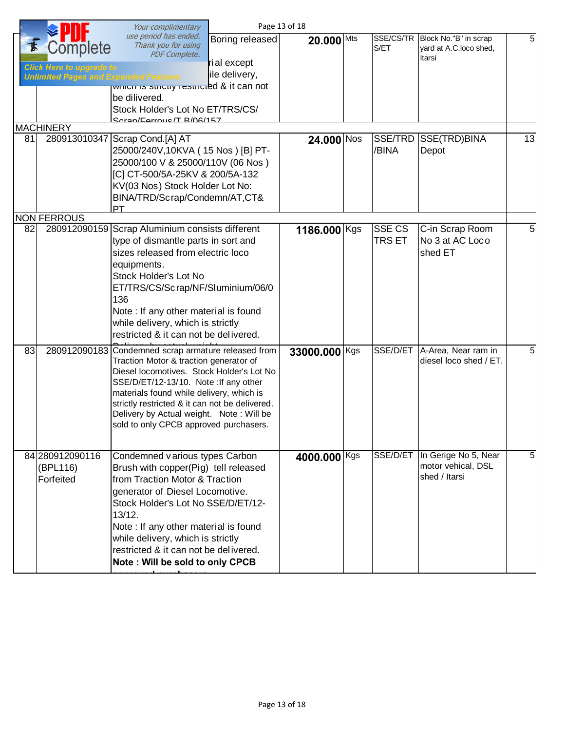|    |                                                                                             | Your complimentary                                                                                                                                                                                                                                                                                                                                                       | Page 13 of 18 |     |                                |                                                             |                |
|----|---------------------------------------------------------------------------------------------|--------------------------------------------------------------------------------------------------------------------------------------------------------------------------------------------------------------------------------------------------------------------------------------------------------------------------------------------------------------------------|---------------|-----|--------------------------------|-------------------------------------------------------------|----------------|
| K  | Complete<br><b>Click Here to upgrade to</b><br><b>Unlimited Pages and Expanded Features</b> | use period has ended.<br>Boring released<br>Thank you for using<br><b>PDF Complete.</b><br>rial except<br>ile delivery,                                                                                                                                                                                                                                                  | $20.000$ Mts  |     | SSE/CS/TR<br>S/ET              | Block No."B" in scrap<br>yard at A.C.loco shed,<br>Itarsi   | $\overline{5}$ |
|    |                                                                                             | which is surrouy result ted & it can not<br>be dilivered.<br>Stock Holder's Lot No ET/TRS/CS/                                                                                                                                                                                                                                                                            |               |     |                                |                                                             |                |
|    | <b>MACHINERY</b>                                                                            | Seran/Ferrous /T R/06/157                                                                                                                                                                                                                                                                                                                                                |               |     |                                |                                                             |                |
| 81 |                                                                                             | 280913010347 Scrap Cond.[A] AT<br>25000/240V,10KVA (15 Nos) [B] PT-<br>25000/100 V & 25000/110V (06 Nos)<br>[C] CT-500/5A-25KV & 200/5A-132<br>KV(03 Nos) Stock Holder Lot No:<br>BINA/TRD/Scrap/Condemn/AT,CT&<br>PT                                                                                                                                                    | 24.000 Nos    |     | SSE/TRD<br>/BINA               | <b>SSE(TRD)BINA</b><br>Depot                                | 13             |
|    | <b>NON FERROUS</b>                                                                          |                                                                                                                                                                                                                                                                                                                                                                          |               |     |                                |                                                             |                |
| 82 | 280912090159                                                                                | Scrap Aluminium consists different<br>type of dismantle parts in sort and<br>sizes released from electric loco<br>equipments.<br>Stock Holder's Lot No<br>ET/TRS/CS/Scrap/NF/Sluminium/06/0<br>136<br>Note : If any other material is found<br>while delivery, which is strictly<br>restricted & it can not be delivered.                                                | 1186.000 Kgs  |     | <b>SSE CS</b><br><b>TRS ET</b> | C-in Scrap Room<br>No 3 at AC Loco<br>shed ET               | 5              |
| 83 |                                                                                             | 280912090183 Condemned scrap armature released from<br>Traction Motor & traction generator of<br>Diesel locomotives. Stock Holder's Lot No<br>SSE/D/ET/12-13/10. Note : If any other<br>materials found while delivery, which is<br>strictly restricted & it can not be delivered.<br>Delivery by Actual weight. Note: Will be<br>sold to only CPCB approved purchasers. | 33000.000     | Kgs | SSE/D/ET                       | A-Area, Near ram in<br>diesel loco shed / ET.               | 5 <sup>1</sup> |
|    | 84 280 9120 90116<br>(BPL116)<br>Forfeited                                                  | Condemned various types Carbon<br>Brush with copper(Pig) tell released<br>from Traction Motor & Traction<br>generator of Diesel Locomotive.<br>Stock Holder's Lot No SSE/D/ET/12-<br>13/12.<br>Note : If any other material is found<br>while delivery, which is strictly<br>restricted & it can not be delivered.<br>Note: Will be sold to only CPCB                    | 4000.000 Kgs  |     | SSE/D/ET                       | In Gerige No 5, Near<br>motor vehical, DSL<br>shed / Itarsi | 5              |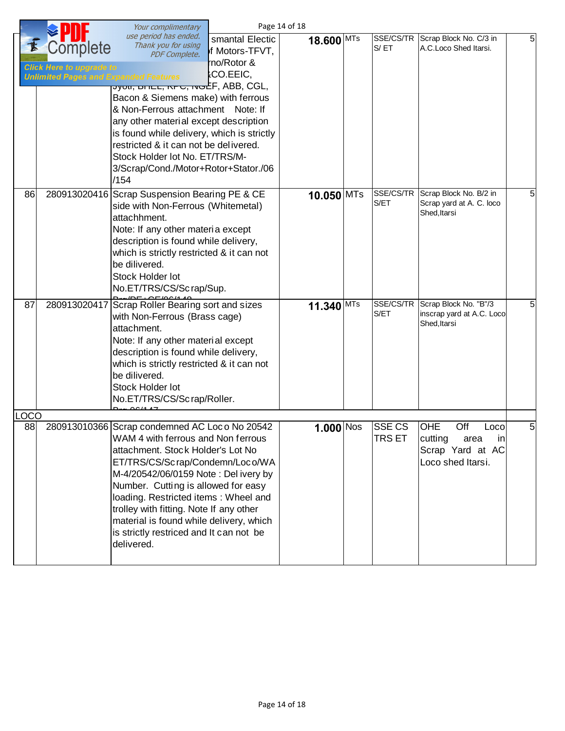|             | Your complimentary                           |                                                                             | Page 14 of 18                      |                     |            |                   |                                                 |   |
|-------------|----------------------------------------------|-----------------------------------------------------------------------------|------------------------------------|---------------------|------------|-------------------|-------------------------------------------------|---|
|             | Complete                                     | use period has ended.<br>Thank you for using<br><b>PDF</b> Complete.        | smantal Electic<br>of Motors-TFVT, | 18.600              | <b>MTs</b> | SSE/CS/TR<br>S/ET | Scrap Block No. C/3 in<br>A.C.Loco Shed Itarsi. | 5 |
|             | <b>Click Here to upgrade to</b>              |                                                                             | rno/Rotor &                        |                     |            |                   |                                                 |   |
|             | <b>Unlimited Pages and Expanded Features</b> |                                                                             | <b>kCO.EEIC,</b>                   |                     |            |                   |                                                 |   |
|             |                                              | <mark>עשטו, סרובב, <i>ה</i>דט, משב</mark> ד, ABB, CGL,                      |                                    |                     |            |                   |                                                 |   |
|             |                                              | Bacon & Siemens make) with ferrous                                          |                                    |                     |            |                   |                                                 |   |
|             |                                              | & Non-Ferrous attachment Note: If                                           |                                    |                     |            |                   |                                                 |   |
|             |                                              | any other material except description                                       |                                    |                     |            |                   |                                                 |   |
|             |                                              | is found while delivery, which is strictly                                  |                                    |                     |            |                   |                                                 |   |
|             |                                              | restricted & it can not be delivered.                                       |                                    |                     |            |                   |                                                 |   |
|             |                                              | Stock Holder lot No. ET/TRS/M-                                              |                                    |                     |            |                   |                                                 |   |
|             |                                              | 3/Scrap/Cond./Motor+Rotor+Stator./06<br>/154                                |                                    |                     |            |                   |                                                 |   |
| 86          |                                              | 280913020416 Scrap Suspension Bearing PE & CE                               |                                    | 10.050 MTs          |            | SSE/CS/TR         | Scrap Block No. B/2 in                          | 5 |
|             |                                              | side with Non-Ferrous (Whitemetal)                                          |                                    |                     |            | S/ET              | Scrap yard at A. C. loco<br>Shed, Itarsi        |   |
|             |                                              | attachhment.                                                                |                                    |                     |            |                   |                                                 |   |
|             |                                              | Note: If any other materia except                                           |                                    |                     |            |                   |                                                 |   |
|             |                                              | description is found while delivery,                                        |                                    |                     |            |                   |                                                 |   |
|             |                                              | which is strictly restricted & it can not                                   |                                    |                     |            |                   |                                                 |   |
|             |                                              | be dilivered.<br>Stock Holder lot                                           |                                    |                     |            |                   |                                                 |   |
|             |                                              | No.ET/TRS/CS/Scrap/Sup.                                                     |                                    |                     |            |                   |                                                 |   |
| 87          |                                              | 280913020417 Scrap Roller Bearing sort and sizes                            |                                    |                     | <b>MTs</b> | SSE/CS/TR         | Scrap Block No. "B"/3                           | 5 |
|             |                                              | with Non-Ferrous (Brass cage)                                               |                                    | 11.340              |            | S/ET              | inscrap yard at A.C. Loco                       |   |
|             |                                              | attachment.                                                                 |                                    |                     |            |                   | Shed, Itarsi                                    |   |
|             |                                              | Note: If any other material except                                          |                                    |                     |            |                   |                                                 |   |
|             |                                              | description is found while delivery,                                        |                                    |                     |            |                   |                                                 |   |
|             |                                              | which is strictly restricted & it can not                                   |                                    |                     |            |                   |                                                 |   |
|             |                                              | be dilivered.                                                               |                                    |                     |            |                   |                                                 |   |
|             |                                              | Stock Holder lot                                                            |                                    |                     |            |                   |                                                 |   |
|             |                                              | No.ET/TRS/CS/Scrap/Roller.                                                  |                                    |                     |            |                   |                                                 |   |
| <b>LOCO</b> |                                              |                                                                             |                                    |                     |            |                   |                                                 |   |
| 88          |                                              | 280913010366 Scrap condemned AC Loc o No 20542                              |                                    | $1.000$ $\vert$ Nos |            | <b>SSE CS</b>     | OHE<br>Off<br>Loco                              | 5 |
|             |                                              | WAM 4 with ferrous and Non ferrous                                          |                                    |                     |            | TRS ET            | cutting<br>area<br>$\mathsf{I}$                 |   |
|             |                                              | attachment. Stock Holder's Lot No                                           |                                    |                     |            |                   | Scrap Yard at AC                                |   |
|             |                                              | ET/TRS/CS/Scrap/Condemn/Loco/WA                                             |                                    |                     |            |                   | Loco shed Itarsi.                               |   |
|             |                                              | M-4/20542/06/0159 Note: Del ivery by                                        |                                    |                     |            |                   |                                                 |   |
|             |                                              | Number. Cutting is allowed for easy<br>loading. Restricted items: Wheel and |                                    |                     |            |                   |                                                 |   |
|             |                                              | trolley with fitting. Note If any other                                     |                                    |                     |            |                   |                                                 |   |
|             |                                              | material is found while delivery, which                                     |                                    |                     |            |                   |                                                 |   |
|             |                                              | is strictly restriced and It can not be                                     |                                    |                     |            |                   |                                                 |   |
|             |                                              | delivered.                                                                  |                                    |                     |            |                   |                                                 |   |
|             |                                              |                                                                             |                                    |                     |            |                   |                                                 |   |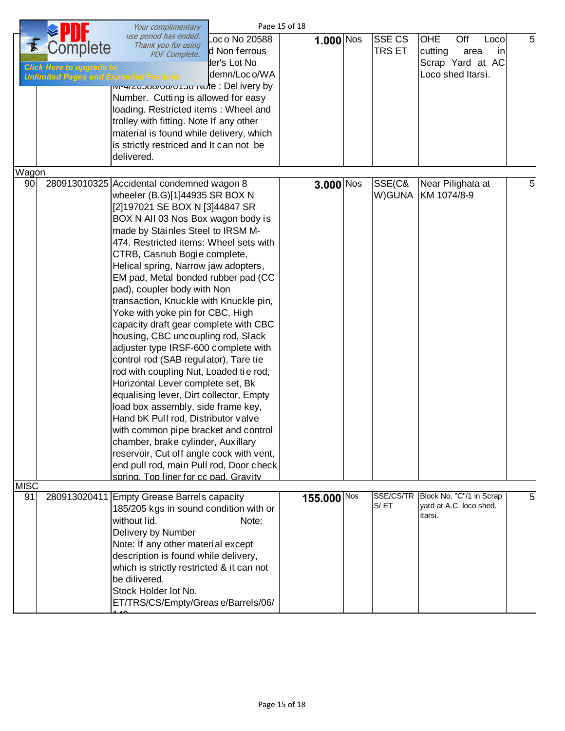|             |                                              | Your complimentary                                                                                                                                                                                                                                                                                                                                                                                                                                                                                                                                                                                                                                                                                                                                                                                                                                                                                                                                                                                                                                  |                                                 | Page 15 of 18 |                |            |                                |                                                                |                  |
|-------------|----------------------------------------------|-----------------------------------------------------------------------------------------------------------------------------------------------------------------------------------------------------------------------------------------------------------------------------------------------------------------------------------------------------------------------------------------------------------------------------------------------------------------------------------------------------------------------------------------------------------------------------------------------------------------------------------------------------------------------------------------------------------------------------------------------------------------------------------------------------------------------------------------------------------------------------------------------------------------------------------------------------------------------------------------------------------------------------------------------------|-------------------------------------------------|---------------|----------------|------------|--------------------------------|----------------------------------------------------------------|------------------|
|             | Complete<br><b>Click Here to upgrade to</b>  | use period has ended.<br>Thank you for using<br><b>PDF Complete.</b>                                                                                                                                                                                                                                                                                                                                                                                                                                                                                                                                                                                                                                                                                                                                                                                                                                                                                                                                                                                | Loc o No 20588<br>d Non ferrous<br>der's Lot No |               | $1.000$ $N$ os |            | <b>SSE CS</b><br><b>TRS ET</b> | OHE<br>Off<br>cutting<br>area<br>Scrap Yard at AC              | 5<br>Loco<br>inl |
|             | <b>Unlimited Pages and Expanded Features</b> | <b>IVI-4/ZUJOO/UU/UTJO Nute: Delivery by</b><br>Number. Cutting is allowed for easy<br>loading. Restricted items: Wheel and<br>trolley with fitting. Note If any other<br>material is found while delivery, which<br>is strictly restriced and It can not be<br>delivered.                                                                                                                                                                                                                                                                                                                                                                                                                                                                                                                                                                                                                                                                                                                                                                          | demn/Loco/WA                                    |               |                |            |                                | Loco shed Itarsi.                                              |                  |
| Wagon       |                                              |                                                                                                                                                                                                                                                                                                                                                                                                                                                                                                                                                                                                                                                                                                                                                                                                                                                                                                                                                                                                                                                     |                                                 |               |                |            |                                |                                                                |                  |
| 90          |                                              | 280913010325 Accidental condemned wagon 8<br>wheeler (B.G)[1]44935 SR BOX N<br>[2]197021 SE BOX N [3]44847 SR<br>BOX N All 03 Nos Box wagon body is<br>made by Stainles Steel to IRSM M-<br>474. Restricted items: Wheel sets with<br>CTRB, Casnub Bogie complete,<br>Helical spring, Narrow jaw adopters,<br>EM pad, Metal bonded rubber pad (CC<br>pad), coupler body with Non<br>transaction, Knuckle with Knuckle pin,<br>Yoke with yoke pin for CBC, High<br>capacity draft gear complete with CBC<br>housing, CBC uncoupling rod, Slack<br>adjuster type IRSF-600 complete with<br>control rod (SAB regulator), Tare tie<br>rod with coupling Nut, Loaded tie rod,<br>Horizontal Lever complete set, Bk<br>equalising lever, Dirt collector, Empty<br>load box assembly, side frame key,<br>Hand bK Pull rod, Distributor valve<br>with common pipe bracket and control<br>chamber, brake cylinder, Auxillary<br>reservoir, Cut off angle cock with vent,<br>end pull rod, main Pull rod, Door check<br>spring. Top liner for cc pad. Gravity |                                                 |               | $3.000$ Nos    |            | SSE(C&<br>W)GUNA               | Near Pilighata at<br>KM 1074/8-9                               | 5                |
| <b>MISC</b> |                                              |                                                                                                                                                                                                                                                                                                                                                                                                                                                                                                                                                                                                                                                                                                                                                                                                                                                                                                                                                                                                                                                     |                                                 |               |                |            |                                |                                                                |                  |
| 91          | 280913020411                                 | <b>Empty Grease Barrels capacity</b><br>185/205 kgs in sound condition with or<br>without lid.<br>Delivery by Number<br>Note: If any other material except<br>description is found while delivery,<br>which is strictly restricted & it can not<br>be dilivered.<br>Stock Holder lot No.<br>ET/TRS/CS/Empty/Greas e/Barrels/06/                                                                                                                                                                                                                                                                                                                                                                                                                                                                                                                                                                                                                                                                                                                     | Note:                                           |               | 155.000        | <b>Nos</b> | SSE/CS/TR<br>S/ET              | Block No. "C"/1 in Scrap<br>vard at A.C. loco shed,<br>Itarsi. | 5                |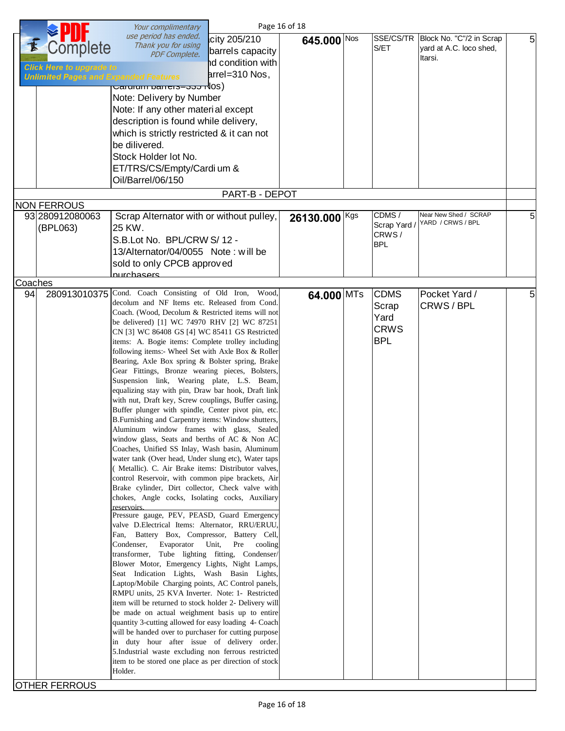|                                                                                             | Your complimentary                                                                                                                                                                                                                                                                                                                                                                                                                                                                                                                                                                                                                                                                                                                                                                                                                                                                                                                                                                                                                                                                                                                                                                                                                                                                                                                                                                                                                                                                                                                                                                                                                                                                                                                                                                                                                                                                                                                                                                                                                                         | Page 16 of 18 |                                                           |                                                                |   |
|---------------------------------------------------------------------------------------------|------------------------------------------------------------------------------------------------------------------------------------------------------------------------------------------------------------------------------------------------------------------------------------------------------------------------------------------------------------------------------------------------------------------------------------------------------------------------------------------------------------------------------------------------------------------------------------------------------------------------------------------------------------------------------------------------------------------------------------------------------------------------------------------------------------------------------------------------------------------------------------------------------------------------------------------------------------------------------------------------------------------------------------------------------------------------------------------------------------------------------------------------------------------------------------------------------------------------------------------------------------------------------------------------------------------------------------------------------------------------------------------------------------------------------------------------------------------------------------------------------------------------------------------------------------------------------------------------------------------------------------------------------------------------------------------------------------------------------------------------------------------------------------------------------------------------------------------------------------------------------------------------------------------------------------------------------------------------------------------------------------------------------------------------------------|---------------|-----------------------------------------------------------|----------------------------------------------------------------|---|
| Complete<br><b>Click Here to upgrade to</b><br><b>Unlimited Pages and Expanded Features</b> | use period has ended.<br>icity 205/210<br>Thank you for using<br>barrels capacity<br>PDF Complete.<br><b>nd condition with</b><br>arrel=310 Nos,<br>Carurum pamers=ססט rlos)<br>Note: Delivery by Number<br>Note: If any other material except<br>description is found while delivery,<br>which is strictly restricted & it can not<br>be dilivered.<br>Stock Holder lot No.<br>ET/TRS/CS/Empty/Cardi um &<br>Oil/Barrel/06/150                                                                                                                                                                                                                                                                                                                                                                                                                                                                                                                                                                                                                                                                                                                                                                                                                                                                                                                                                                                                                                                                                                                                                                                                                                                                                                                                                                                                                                                                                                                                                                                                                            | 645.000 Nos   | SSE/CS/TR<br>S/ET                                         | Block No. "C"/2 in Scrap<br>yard at A.C. loco shed,<br>Itarsi. | 5 |
|                                                                                             | PART-B - DEPOT                                                                                                                                                                                                                                                                                                                                                                                                                                                                                                                                                                                                                                                                                                                                                                                                                                                                                                                                                                                                                                                                                                                                                                                                                                                                                                                                                                                                                                                                                                                                                                                                                                                                                                                                                                                                                                                                                                                                                                                                                                             |               |                                                           |                                                                |   |
| <b>NON FERROUS</b>                                                                          |                                                                                                                                                                                                                                                                                                                                                                                                                                                                                                                                                                                                                                                                                                                                                                                                                                                                                                                                                                                                                                                                                                                                                                                                                                                                                                                                                                                                                                                                                                                                                                                                                                                                                                                                                                                                                                                                                                                                                                                                                                                            |               |                                                           |                                                                |   |
| 93 280912080063<br>(BPL063)                                                                 | Scrap Alternator with or without pulley,<br>25 KW.<br>S.B.Lot No. BPL/CRW S/12 -<br>13/Alternator/04/0055 Note: will be<br>sold to only CPCB approved<br>nurchasers                                                                                                                                                                                                                                                                                                                                                                                                                                                                                                                                                                                                                                                                                                                                                                                                                                                                                                                                                                                                                                                                                                                                                                                                                                                                                                                                                                                                                                                                                                                                                                                                                                                                                                                                                                                                                                                                                        | 26130.000 Kgs | CDMS/<br>Scrap Yard<br>CRWS/<br><b>BPL</b>                | Near New Shed / SCRAP<br>YARD / CRWS / BPL                     | 5 |
| Coaches                                                                                     |                                                                                                                                                                                                                                                                                                                                                                                                                                                                                                                                                                                                                                                                                                                                                                                                                                                                                                                                                                                                                                                                                                                                                                                                                                                                                                                                                                                                                                                                                                                                                                                                                                                                                                                                                                                                                                                                                                                                                                                                                                                            |               |                                                           |                                                                |   |
| 280913010375<br>94<br><b>OTHER FERROUS</b>                                                  | Cond. Coach Consisting of Old Iron, Wood,<br>decolum and NF Items etc. Released from Cond.<br>Coach. (Wood, Decolum & Restricted items will not<br>be delivered) [1] WC 74970 RHV [2] WC 87251<br>CN [3] WC 86408 GS [4] WC 85411 GS Restricted<br>items: A. Bogie items: Complete trolley including<br>following items:- Wheel Set with Axle Box & Roller<br>Bearing, Axle Box spring & Bolster spring, Brake<br>Gear Fittings, Bronze wearing pieces, Bolsters,<br>Suspension link, Wearing plate, L.S. Beam,<br>equalizing stay with pin, Draw bar hook, Draft link<br>with nut, Draft key, Screw couplings, Buffer casing,<br>Buffer plunger with spindle, Center pivot pin, etc.<br>B. Furnishing and Carpentry items: Window shutters,<br>Aluminum window frames with glass, Sealed<br>window glass, Seats and berths of AC & Non AC<br>Coaches, Unified SS Inlay, Wash basin, Aluminum<br>water tank (Over head, Under slung etc), Water taps<br>(Metallic). C. Air Brake items: Distributor valves,<br>control Reservoir, with common pipe brackets, Air<br>Brake cylinder, Dirt collector, Check valve with<br>chokes, Angle cocks, Isolating cocks, Auxiliary<br>reservoirs.<br>Pressure gauge, PEV, PEASD, Guard Emergency<br>valve D.Electrical Items: Alternator, RRU/ERUU,<br>Fan, Battery Box, Compressor, Battery Cell,<br>Evaporator Unit,<br>Condenser,<br>Pre<br>cooling<br>transformer, Tube lighting fitting, Condenser/<br>Blower Motor, Emergency Lights, Night Lamps,<br>Seat Indication Lights, Wash Basin Lights,<br>Laptop/Mobile Charging points, AC Control panels,<br>RMPU units, 25 KVA Inverter. Note: 1- Restricted<br>item will be returned to stock holder 2- Delivery will<br>be made on actual weighment basis up to entire<br>quantity 3-cutting allowed for easy loading 4- Coach<br>will be handed over to purchaser for cutting purpose<br>in duty hour after issue of delivery order.<br>5.Industrial waste excluding non ferrous restricted<br>item to be stored one place as per direction of stock<br>Holder. | 64.000 MTs    | <b>CDMS</b><br>Scrap<br>Yard<br><b>CRWS</b><br><b>BPL</b> | Pocket Yard /<br>CRWS / BPL                                    | 5 |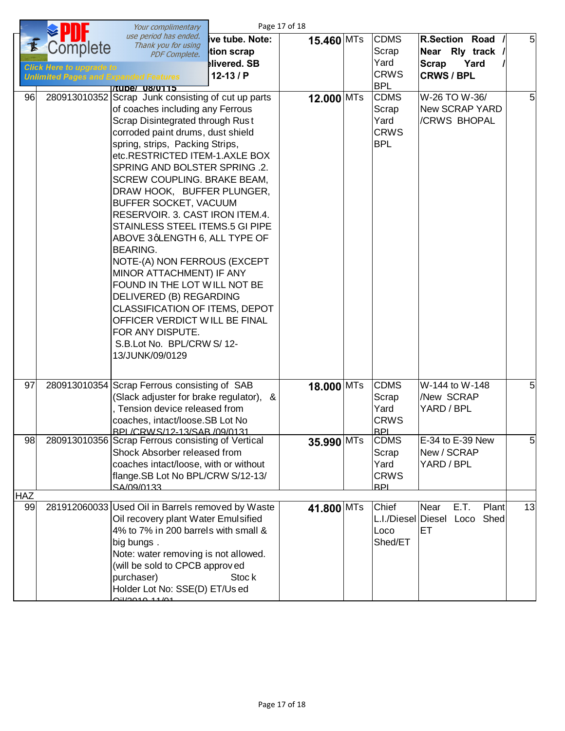|                  |                                                                                             | Your complimentary                                                                                                                                                                                                                                                                                                                                                                                                                                                                                                                                                                                                                                                                                                                                                                          |                                                                  | Page 17 of 18 |                                                           |                                                                                      |                |
|------------------|---------------------------------------------------------------------------------------------|---------------------------------------------------------------------------------------------------------------------------------------------------------------------------------------------------------------------------------------------------------------------------------------------------------------------------------------------------------------------------------------------------------------------------------------------------------------------------------------------------------------------------------------------------------------------------------------------------------------------------------------------------------------------------------------------------------------------------------------------------------------------------------------------|------------------------------------------------------------------|---------------|-----------------------------------------------------------|--------------------------------------------------------------------------------------|----------------|
|                  | Complete<br><b>Click Here to upgrade to</b><br><b>Unlimited Pages and Expanded Features</b> | use period has ended.<br>Thank you for using<br><b>PDF Complete.</b>                                                                                                                                                                                                                                                                                                                                                                                                                                                                                                                                                                                                                                                                                                                        | ive tube. Note:<br>tion scrap<br><b>Hivered. SB</b><br>$12-13/P$ | 15.460 MTs    | <b>CDMS</b><br>Scrap<br>Yard<br><b>CRWS</b><br><b>BPL</b> | <b>R.Section Road</b><br>Near Rly track<br><b>Scrap</b><br>Yard<br><b>CRWS / BPL</b> | 5 <sup>1</sup> |
| 96               |                                                                                             | <b>I/tube/ 08/0115</b><br>280913010352 Scrap Junk consisting of cut up parts<br>of coaches including any Ferrous<br>Scrap Disintegrated through Rust<br>corroded paint drums, dust shield<br>spring, strips, Packing Strips,<br>etc.RESTRICTED ITEM-1.AXLE BOX<br>SPRING AND BOLSTER SPRING .2.<br>SCREW COUPLING. BRAKE BEAM,<br>DRAW HOOK, BUFFER PLUNGER,<br><b>BUFFER SOCKET, VACUUM</b><br>RESERVOIR. 3. CAST IRON ITEM.4.<br>STAINLESS STEEL ITEMS.5 GI PIPE<br>ABOVE 3qLENGTH 6, ALL TYPE OF<br><b>BEARING.</b><br>NOTE-(A) NON FERROUS (EXCEPT<br>MINOR ATTACHMENT) IF ANY<br>FOUND IN THE LOT WILL NOT BE<br>DELIVERED (B) REGARDING<br><b>CLASSIFICATION OF ITEMS, DEPOT</b><br>OFFICER VERDICT WILL BE FINAL<br>FOR ANY DISPUTE.<br>S.B.Lot No. BPL/CRW S/12-<br>13/JUNK/09/0129 |                                                                  | 12.000 MTs    | <b>CDMS</b><br>Scrap<br>Yard<br><b>CRWS</b><br><b>BPL</b> | W-26 TO W-36/<br><b>New SCRAP YARD</b><br>/CRWS BHOPAL                               | 5              |
| 97               |                                                                                             | 280913010354 Scrap Ferrous consisting of SAB<br>(Slack adjuster for brake regulator), &<br>. Tension device released from<br>coaches, intact/loose.SB Lot No<br>BPI /CRWS/12-13/SAB /09/0131                                                                                                                                                                                                                                                                                                                                                                                                                                                                                                                                                                                                |                                                                  | 18.000 MTs    | <b>CDMS</b><br>Scrap<br>Yard<br><b>CRWS</b><br><b>BPI</b> | W-144 to W-148<br><b>New SCRAP</b><br>YARD / BPL                                     | 5 <sub>l</sub> |
| 98               |                                                                                             | 280913010356 Scrap Ferrous consisting of Vertical<br>Shock Absorber released from<br>coaches intact/loose, with or without<br>flange.SB Lot No BPL/CRW S/12-13/<br>SA/09/0133                                                                                                                                                                                                                                                                                                                                                                                                                                                                                                                                                                                                               |                                                                  | 35.990 MTs    | <b>CDMS</b><br>Scrap<br>Yard<br><b>CRWS</b><br><b>BPI</b> | E-34 to E-39 New<br>New / SCRAP<br>YARD / BPL                                        | 5 <sup>1</sup> |
| <b>HAZ</b><br>99 |                                                                                             | 281912060033 Used Oil in Barrels removed by Waste                                                                                                                                                                                                                                                                                                                                                                                                                                                                                                                                                                                                                                                                                                                                           |                                                                  | 41.800 MTs    | Chief                                                     | E.T.<br>Plant<br>Near                                                                | 13             |
|                  |                                                                                             | Oil recovery plant Water Emulsified<br>4% to 7% in 200 barrels with small &<br>big bungs.<br>Note: water removing is not allowed.<br>(will be sold to CPCB approved<br>purchaser)<br>Holder Lot No: SSE(D) ET/Us ed<br><u>AUDARA 11/01</u>                                                                                                                                                                                                                                                                                                                                                                                                                                                                                                                                                  | Stoc k                                                           |               | L.I./Diesel Diesel<br>Loco<br>Shed/ET                     | Shed<br>Loco<br>ET                                                                   |                |